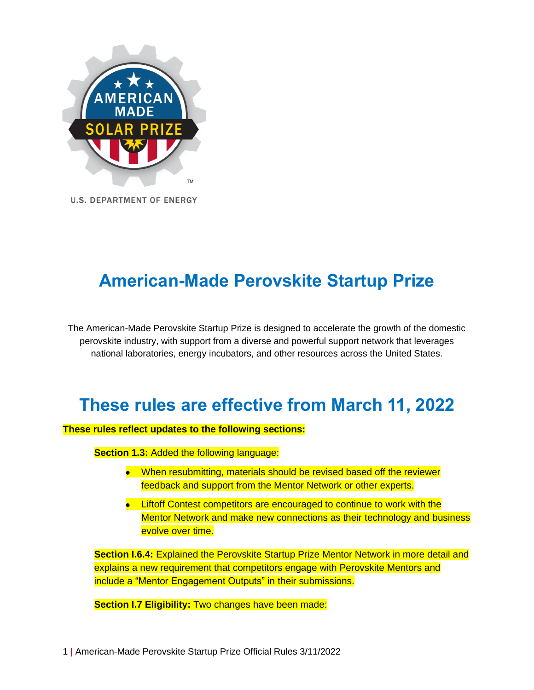

**U.S. DEPARTMENT OF ENERGY** 

# **American-Made Perovskite Startup Prize**

 perovskite industry, with support from a diverse and powerful support network that leverages The American-Made Perovskite Startup Prize is designed to accelerate the growth of the domestic national laboratories, energy incubators, and other resources across the United States.

# **These rules are effective from March 11, 2022**

#### **These rules reflect updates to the following sections:**

**Section 1.3:** Added the following language:

- • When resubmitting, materials should be revised based off the reviewer feedback and support from the Mentor Network or other experts.
- Liftoff Contest competitors are encouraged to continue to work with the Mentor Network and make new connections as their technology and business evolve over time.

 **Section I.6.4:** Explained the Perovskite Startup Prize Mentor Network in more detail and explains a new requirement that competitors engage with Perovskite Mentors and include a "Mentor Engagement Outputs" in their submissions.

 **Section I.7 Eligibility:** Two changes have been made: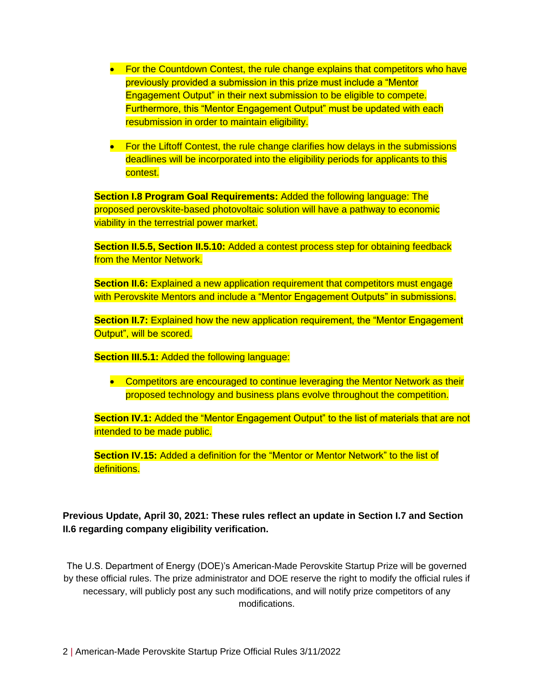- For the Countdown Contest, the rule change explains that competitors who have previously provided a submission in this prize must include a "Mentor Engagement Output" in their next submission to be eligible to compete. Furthermore, this "Mentor Engagement Output" must be updated with each resubmission in order to maintain eligibility.
- For the Liftoff Contest, the rule change clarifies how delays in the submissions deadlines will be incorporated into the eligibility periods for applicants to this contest.

 **Section I.8 Program Goal Requirements:** Added the following language: The proposed perovskite-based photovoltaic solution will have a pathway to economic viability in the terrestrial power market.

 **Section II.5.5, Section II.5.10:** Added a contest process step for obtaining feedback from the Mentor Network.

**Section II.6:** Explained a new application requirement that competitors must engage with Perovskite Mentors and include a "Mentor Engagement Outputs" in submissions.

 **Section II.7:** Explained how the new application requirement, the "Mentor Engagement Output", will be scored.

**Section III.5.1: Added the following language:** 

 • Competitors are encouraged to continue leveraging the Mentor Network as their proposed technology and business plans evolve throughout the competition.

 **Section IV.1:** Added the "Mentor Engagement Output" to the list of materials that are not intended to be made public.

 **Section IV.15:** Added a definition for the "Mentor or Mentor Network" to the list of definitions.

#### **Previous Update, April 30, 2021: These rules reflect an update in Section I.7 and Section II.6 regarding company eligibility verification.**

 The U.S. Department of Energy (DOE)'s American-Made Perovskite Startup Prize will be governed by these official rules. The prize administrator and DOE reserve the right to modify the official rules if necessary, will publicly post any such modifications, and will notify prize competitors of any modifications.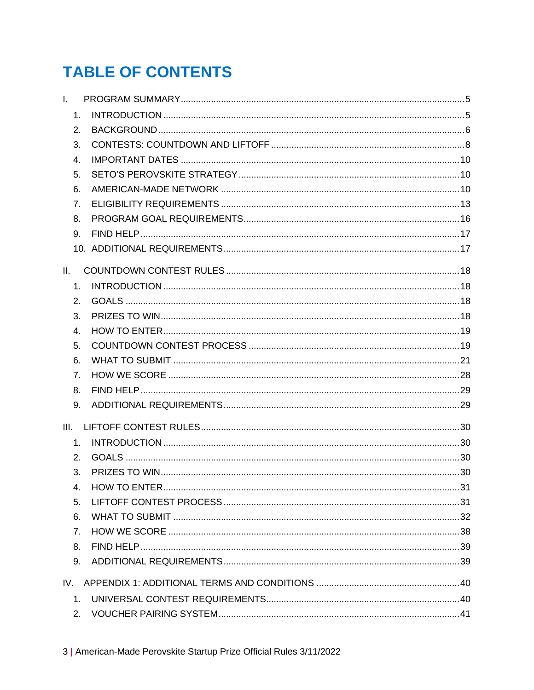# **TABLE OF CONTENTS**

| 1 <sub>1</sub><br>2.<br>3.<br>4.<br>5.<br>6.<br>7.<br>8.<br>9.<br>II.<br>1 <sub>1</sub><br>2.<br>3.<br>4.<br>5.<br>6.<br>7.<br>8.<br>9.<br>III.<br>1 <sub>1</sub><br>2.<br>3.<br>4.<br>5.<br>6.<br>7 <sub>1</sub><br>8.<br>9.<br>IV.<br>1 <sub>1</sub><br>$2_{-}$ | $\mathbf{L}$ |  |  |
|-------------------------------------------------------------------------------------------------------------------------------------------------------------------------------------------------------------------------------------------------------------------|--------------|--|--|
|                                                                                                                                                                                                                                                                   |              |  |  |
|                                                                                                                                                                                                                                                                   |              |  |  |
|                                                                                                                                                                                                                                                                   |              |  |  |
|                                                                                                                                                                                                                                                                   |              |  |  |
|                                                                                                                                                                                                                                                                   |              |  |  |
|                                                                                                                                                                                                                                                                   |              |  |  |
|                                                                                                                                                                                                                                                                   |              |  |  |
|                                                                                                                                                                                                                                                                   |              |  |  |
|                                                                                                                                                                                                                                                                   |              |  |  |
|                                                                                                                                                                                                                                                                   |              |  |  |
|                                                                                                                                                                                                                                                                   |              |  |  |
|                                                                                                                                                                                                                                                                   |              |  |  |
|                                                                                                                                                                                                                                                                   |              |  |  |
|                                                                                                                                                                                                                                                                   |              |  |  |
|                                                                                                                                                                                                                                                                   |              |  |  |
|                                                                                                                                                                                                                                                                   |              |  |  |
|                                                                                                                                                                                                                                                                   |              |  |  |
|                                                                                                                                                                                                                                                                   |              |  |  |
|                                                                                                                                                                                                                                                                   |              |  |  |
|                                                                                                                                                                                                                                                                   |              |  |  |
|                                                                                                                                                                                                                                                                   |              |  |  |
|                                                                                                                                                                                                                                                                   |              |  |  |
|                                                                                                                                                                                                                                                                   |              |  |  |
|                                                                                                                                                                                                                                                                   |              |  |  |
|                                                                                                                                                                                                                                                                   |              |  |  |
|                                                                                                                                                                                                                                                                   |              |  |  |
|                                                                                                                                                                                                                                                                   |              |  |  |
|                                                                                                                                                                                                                                                                   |              |  |  |
|                                                                                                                                                                                                                                                                   |              |  |  |
|                                                                                                                                                                                                                                                                   |              |  |  |
|                                                                                                                                                                                                                                                                   |              |  |  |
|                                                                                                                                                                                                                                                                   |              |  |  |
|                                                                                                                                                                                                                                                                   |              |  |  |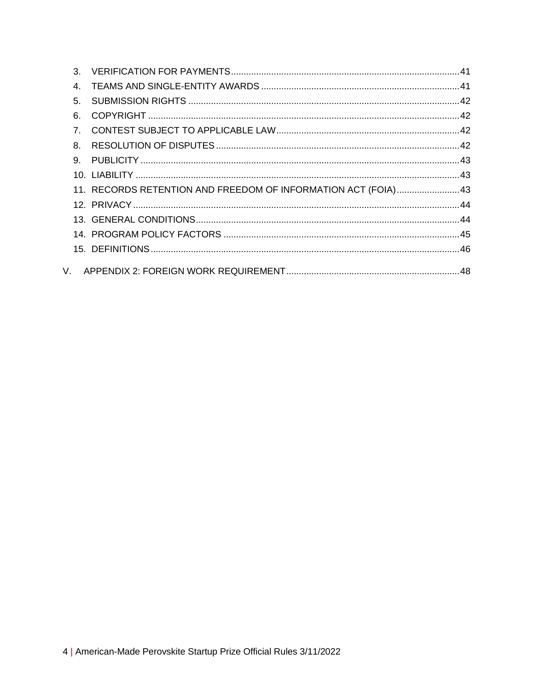| $3_{-}$     |                                                               |  |
|-------------|---------------------------------------------------------------|--|
| 4           |                                                               |  |
| 5.          |                                                               |  |
| 6.          |                                                               |  |
| $7^{\circ}$ |                                                               |  |
| 8           |                                                               |  |
| 9.          |                                                               |  |
|             |                                                               |  |
|             | 11. RECORDS RETENTION AND FREEDOM OF INFORMATION ACT (FOIA)43 |  |
|             |                                                               |  |
|             |                                                               |  |
|             |                                                               |  |
|             |                                                               |  |
| V.          |                                                               |  |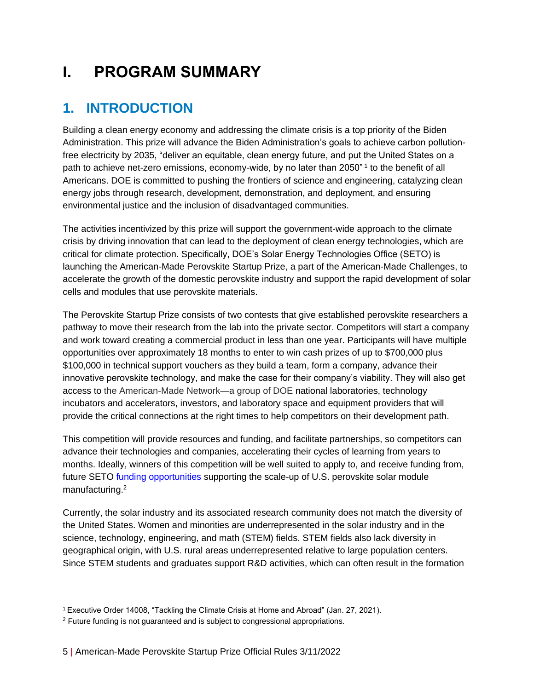# <span id="page-4-0"></span>**I. PROGRAM SUMMARY**

## <span id="page-4-1"></span>**1. INTRODUCTION**

 free electricity by 2035, "deliver an equitable, clean energy future, and put the United States on a path to achieve net-zero emissions, economy-wide, by no later than 2050"<sup>1</sup> to the benefit of all Building a clean energy economy and addressing the climate crisis is a top priority of the Biden Administration. This prize will advance the Biden Administration's goals to achieve carbon pollution-Americans. DOE is committed to pushing the frontiers of science and engineering, catalyzing clean energy jobs through research, development, demonstration, and deployment, and ensuring environmental justice and the inclusion of disadvantaged communities.

 The activities incentivized by this prize will support the government-wide approach to the climate crisis by driving innovation that can lead to the deployment of clean energy technologies, which are launching the American-Made Perovskite Startup Prize, a part of the American-Made Challenges, to accelerate the growth of the domestic perovskite industry and support the rapid development of solar critical for climate protection. Specifically, DOE's Solar Energy Technologies Office (SETO) is cells and modules that use perovskite materials.

 pathway to move their research from the lab into the private sector. Competitors will start a company \$100,000 in technical support vouchers as they build a team, form a company, advance their innovative perovskite technology, and make the case for their company's viability. They will also get incubators and accelerators, investors, and laboratory space and equipment providers that will provide the critical connections at the right times to help competitors on their development path. The Perovskite Startup Prize consists of two contests that give established perovskite researchers a and work toward creating a commercial product in less than one year. Participants will have multiple opportunities over approximately 18 months to enter to win cash prizes of up to \$700,000 plus access to the American-Made Network—a group of DOE national laboratories, technology

 advance their technologies and companies, accelerating their cycles of learning from years to months. Ideally, winners of this competition will be well suited to apply to, and receive funding from, This competition will provide resources and funding, and facilitate partnerships, so competitors can future SETO [funding opportunities](https://www.energy.gov/eere/solar/funding-opportunities) supporting the scale-up of U.S. perovskite solar module manufacturing.2

 the United States. Women and minorities are underrepresented in the solar industry and in the science, technology, engineering, and math (STEM) fields. STEM fields also lack diversity in geographical origin, with U.S. rural areas underrepresented relative to large population centers. Since STEM students and graduates support R&D activities, which can often result in the formation Currently, the solar industry and its associated research community does not match the diversity of

<sup>1</sup> Executive Order 14008, "Tackling the Climate Crisis at Home and Abroad" (Jan. 27, 2021).

<sup>&</sup>lt;sup>2</sup> Future funding is not guaranteed and is subject to congressional appropriations.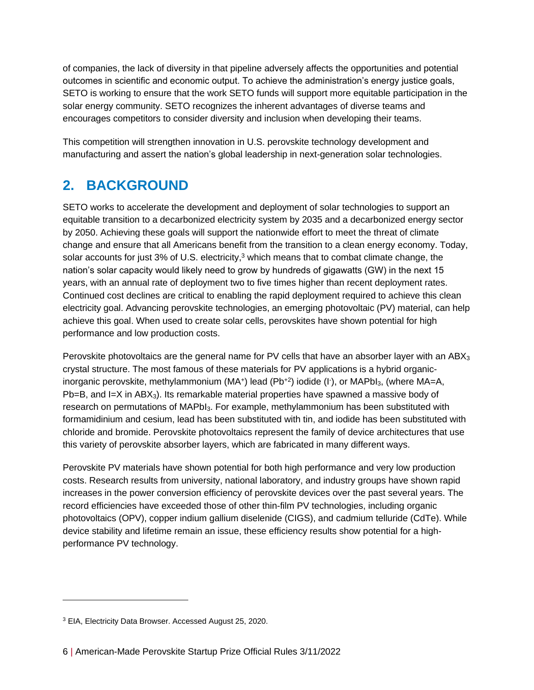outcomes in scientific and economic output. To achieve the administration's energy justice goals, SETO is working to ensure that the work SETO funds will support more equitable participation in the of companies, the lack of diversity in that pipeline adversely affects the opportunities and potential solar energy community. SETO recognizes the inherent advantages of diverse teams and encourages competitors to consider diversity and inclusion when developing their teams.

This competition will strengthen innovation in U.S. perovskite technology development and manufacturing and assert the nation's global leadership in next-generation solar technologies.

## <span id="page-5-0"></span>**2. BACKGROUND**

 SETO works to accelerate the development and deployment of solar technologies to support an by 2050. Achieving these goals will support the nationwide effort to meet the threat of climate change and ensure that all Americans benefit from the transition to a clean energy economy. Today, solar accounts for just 3% of U.S. electricity,<sup>3</sup> which means that to combat climate change, the nation's solar capacity would likely need to grow by hundreds of gigawatts (GW) in the next 15 years, with an annual rate of deployment two to five times higher than recent deployment rates. electricity goal. Advancing perovskite technologies, an emerging photovoltaic (PV) material, can help equitable transition to a decarbonized electricity system by 2035 and a decarbonized energy sector Continued cost declines are critical to enabling the rapid deployment required to achieve this clean achieve this goal. When used to create solar cells, perovskites have shown potential for high performance and low production costs.

Perovskite photovoltaics are the general name for PV cells that have an absorber layer with an ABX $_3$  crystal structure. The most famous of these materials for PV applications is a hybrid organicresearch on permutations of MAPbI<sub>3</sub>. For example, methylammonium has been substituted with formamidinium and cesium, lead has been substituted with tin, and iodide has been substituted with inorganic perovskite, methylammonium (MA<sup>+</sup>) lead (Pb<sup>+2</sup>) iodide (I<sup>-</sup>), or MAPbI<sub>3</sub>, (where MA=A, Pb=B, and I=X in ABX3). Its remarkable material properties have spawned a massive body of chloride and bromide. Perovskite photovoltaics represent the family of device architectures that use this variety of perovskite absorber layers, which are fabricated in many different ways.

 costs. Research results from university, national laboratory, and industry groups have shown rapid increases in the power conversion efficiency of perovskite devices over the past several years. The photovoltaics (OPV), copper indium gallium diselenide (CIGS), and cadmium telluride (CdTe). While device stability and lifetime remain an issue, these efficiency results show potential for a high-Perovskite PV materials have shown potential for both high performance and very low production record efficiencies have exceeded those of other thin-film PV technologies, including organic performance PV technology.

<sup>3</sup> EIA, Electricity Data Browser. Accessed August 25, 2020.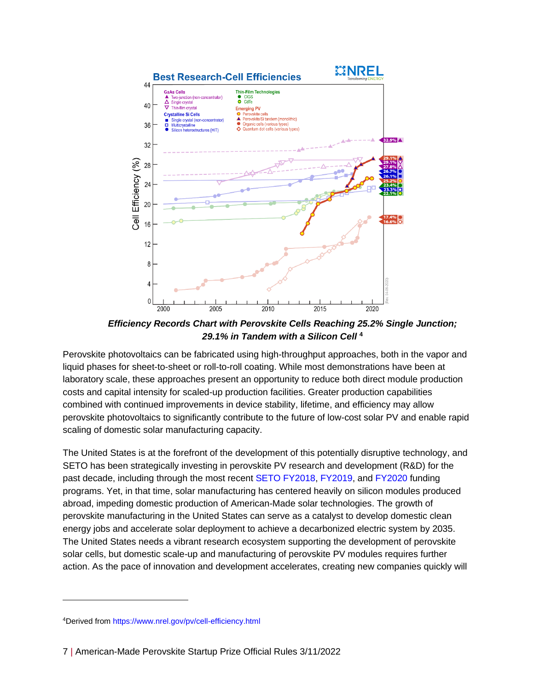

 *Efficiency Records Chart with Perovskite Cells Reaching 25.2% Single Junction; 29.1% in Tandem with a Silicon Cell* **<sup>4</sup>**

 liquid phases for sheet-to-sheet or roll-to-roll coating. While most demonstrations have been at combined with continued improvements in device stability, lifetime, and efficiency may allow perovskite photovoltaics to significantly contribute to the future of low-cost solar PV and enable rapid Perovskite photovoltaics can be fabricated using high-throughput approaches, both in the vapor and laboratory scale, these approaches present an opportunity to reduce both direct module production costs and capital intensity for scaled-up production facilities. Greater production capabilities scaling of domestic solar manufacturing capacity.

 The United States is at the forefront of the development of this potentially disruptive technology, and SETO has been strategically investing in perovskite PV research and development (R&D) for the The United States needs a vibrant research ecosystem supporting the development of perovskite solar cells, but domestic scale-up and manufacturing of perovskite PV modules requires further past decade, including through the most recent [SETO FY2018,](https://www.energy.gov/eere/solar/seto-fy2018-photovoltaics) [FY2019,](https://www.energy.gov/eere/solar/seto-fy2019-photovoltaics) and [FY2020](https://www.energy.gov/eere/solar/funding-opportunity-announcement-solar-energy-technologies-office-fiscal-year-2020) funding programs. Yet, in that time, solar manufacturing has centered heavily on silicon modules produced abroad, impeding domestic production of American-Made solar technologies. The growth of perovskite manufacturing in the United States can serve as a catalyst to develop domestic clean energy jobs and accelerate solar deployment to achieve a decarbonized electric system by 2035. action. As the pace of innovation and development accelerates, creating new companies quickly will

<sup>4</sup>Derived from<https://www.nrel.gov/pv/cell-efficiency.html>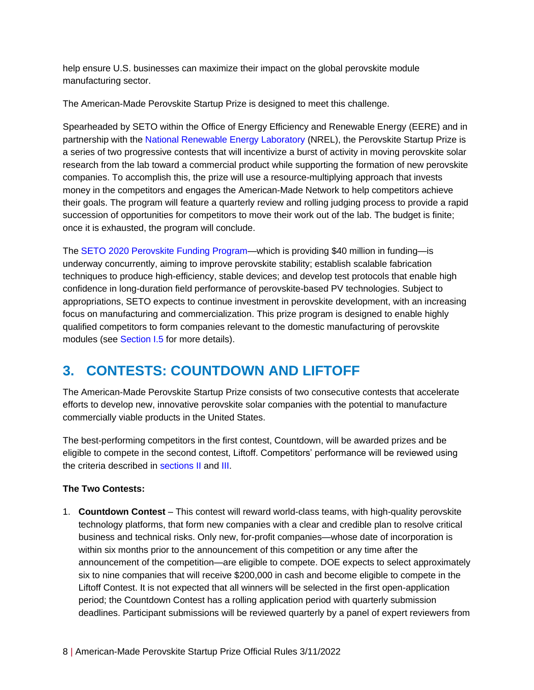help ensure U.S. businesses can maximize their impact on the global perovskite module manufacturing sector.

The American-Made Perovskite Startup Prize is designed to meet this challenge.

 a series of two progressive contests that will incentivize a burst of activity in moving perovskite solar their goals. The program will feature a quarterly review and rolling judging process to provide a rapid succession of opportunities for competitors to move their work out of the lab. The budget is finite; once it is exhausted, the program will conclude. Spearheaded by SETO within the Office of Energy Efficiency and Renewable Energy (EERE) and in partnership with the [National Renewable Energy Laboratory](http://www.nrel.gov/) (NREL), the Perovskite Startup Prize is research from the lab toward a commercial product while supporting the formation of new perovskite companies. To accomplish this, the prize will use a resource-multiplying approach that invests money in the competitors and engages the American-Made Network to help competitors achieve

 focus on manufacturing and commercialization. This prize program is designed to enable highly The [SETO 2020 Perovskite Funding Program—](https://www.energy.gov/eere/solar/funding-opportunity-announcement-solar-energy-technologies-office-fiscal-year-2020-0)which is providing \$40 million in funding—is underway concurrently, aiming to improve perovskite stability; establish scalable fabrication techniques to produce high-efficiency, stable devices; and develop test protocols that enable high confidence in long-duration field performance of perovskite-based PV technologies. Subject to appropriations, SETO expects to continue investment in perovskite development, with an increasing qualified competitors to form companies relevant to the domestic manufacturing of perovskite modules (see Section I.5 for more details).

## <span id="page-7-0"></span>**3. CONTESTS: COUNTDOWN AND LIFTOFF**

The American-Made Perovskite Startup Prize consists of two consecutive contests that accelerate efforts to develop new, innovative perovskite solar companies with the potential to manufacture commercially viable products in the United States.

 The best-performing competitors in the first contest, Countdown, will be awarded prizes and be eligible to compete in the second contest, Liftoff. Competitors' performance will be reviewed using the criteria described in [sections II](#page-17-0) and [III.](#page-29-0)

#### **The Two Contests:**

 technology platforms, that form new companies with a clear and credible plan to resolve critical within six months prior to the announcement of this competition or any time after the Liftoff Contest. It is not expected that all winners will be selected in the first open-application deadlines. Participant submissions will be reviewed quarterly by a panel of expert reviewers from 1. **Countdown Contest** – This contest will reward world-class teams, with high-quality perovskite business and technical risks. Only new, for-profit companies—whose date of incorporation is announcement of the competition—are eligible to compete. DOE expects to select approximately six to nine companies that will receive \$200,000 in cash and become eligible to compete in the period; the Countdown Contest has a rolling application period with quarterly submission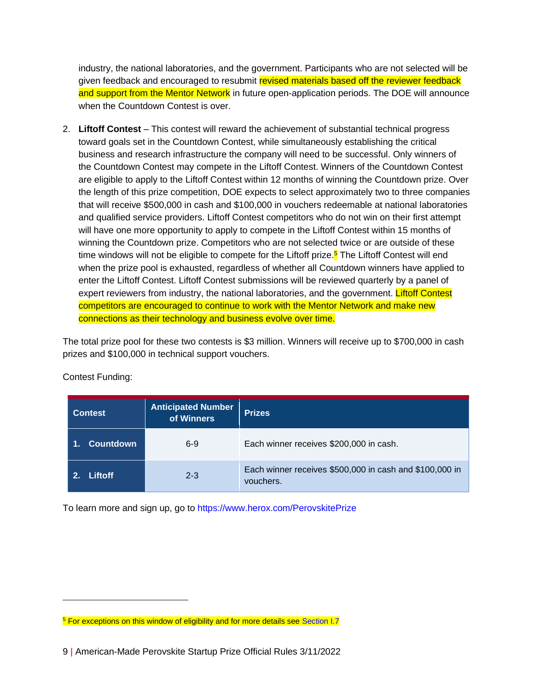given feedback and encouraged to resubmit revised materials based off the reviewer feedback and support from the Mentor Network in future open-application periods. The DOE will announce industry, the national laboratories, and the government. Participants who are not selected will be when the Countdown Contest is over.

 2. **Liftoff Contest** – This contest will reward the achievement of substantial technical progress toward goals set in the Countdown Contest, while simultaneously establishing the critical the length of this prize competition, DOE expects to select approximately two to three companies that will receive \$500,000 in cash and \$100,000 in vouchers redeemable at national laboratories and qualified service providers. Liftoff Contest competitors who do not win on their first attempt time windows will not be eligible to compete for the Liftoff prize.<sup>5</sup> The Liftoff Contest will end enter the Liftoff Contest. Liftoff Contest submissions will be reviewed quarterly by a panel of expert reviewers from industry, the national laboratories, and the government. Liftoff Contest competitors are encouraged to continue to work with the Mentor Network and make new business and research infrastructure the company will need to be successful. Only winners of the Countdown Contest may compete in the Liftoff Contest. Winners of the Countdown Contest are eligible to apply to the Liftoff Contest within 12 months of winning the Countdown prize. Over will have one more opportunity to apply to compete in the Liftoff Contest within 15 months of winning the Countdown prize. Competitors who are not selected twice or are outside of these when the prize pool is exhausted, regardless of whether all Countdown winners have applied to connections as their technology and business evolve over time.

 The total prize pool for these two contests is \$3 million. Winners will receive up to \$700,000 in cash prizes and \$100,000 in technical support vouchers.

| <b>Contest</b>      | <b>Anticipated Number</b><br>of Winners | <b>Prizes</b>                                                        |
|---------------------|-----------------------------------------|----------------------------------------------------------------------|
| <b>Countdown</b>    | $6-9$                                   | Each winner receives \$200,000 in cash.                              |
| $2 - 3$<br>Liftoff⊹ |                                         | Each winner receives \$500,000 in cash and \$100,000 in<br>vouchers. |

Contest Funding:

To learn more and sign up, go to<https://www.herox.com/PerovskitePrize>

<sup>&</sup>lt;sup>5</sup> For exceptions on this window of eligibility and for more details see Section I.7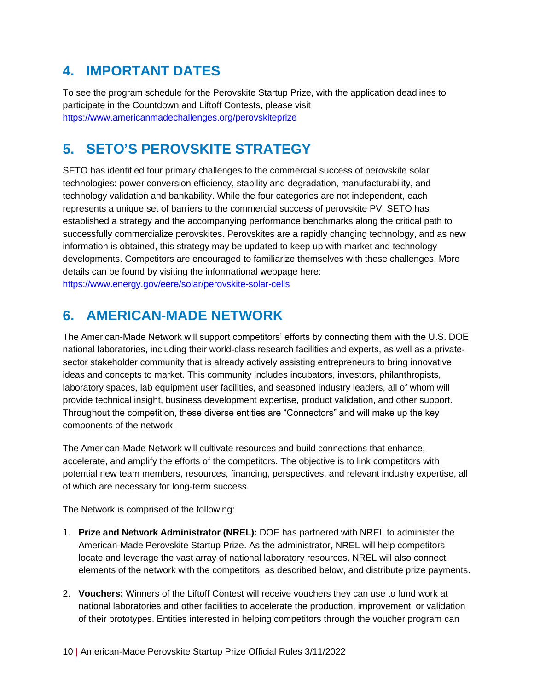### <span id="page-9-0"></span>**4. IMPORTANT DATES**

To see the program schedule for the Perovskite Startup Prize, with the application deadlines to participate in the Countdown and Liftoff Contests, please visit <https://www.americanmadechallenges.org/perovskiteprize>

## <span id="page-9-1"></span>**5. SETO'S PEROVSKITE STRATEGY**

 SETO has identified four primary challenges to the commercial success of perovskite solar represents a unique set of barriers to the commercial success of perovskite PV. SETO has established a strategy and the accompanying performance benchmarks along the critical path to technologies: power conversion efficiency, stability and degradation, manufacturability, and technology validation and bankability. While the four categories are not independent, each successfully commercialize perovskites. Perovskites are a rapidly changing technology, and as new information is obtained, this strategy may be updated to keep up with market and technology developments. Competitors are encouraged to familiarize themselves with these challenges. More details can be found by visiting the informational webpage here: <https://www.energy.gov/eere/solar/perovskite-solar-cells>

### <span id="page-9-2"></span>**6. AMERICAN-MADE NETWORK**

 The American-Made Network will support competitors' efforts by connecting them with the U.S. DOE national laboratories, including their world-class research facilities and experts, as well as a private- ideas and concepts to market. This community includes incubators, investors, philanthropists, laboratory spaces, lab equipment user facilities, and seasoned industry leaders, all of whom will provide technical insight, business development expertise, product validation, and other support. Throughout the competition, these diverse entities are "Connectors" and will make up the key sector stakeholder community that is already actively assisting entrepreneurs to bring innovative components of the network.

 The American-Made Network will cultivate resources and build connections that enhance, potential new team members, resources, financing, perspectives, and relevant industry expertise, all accelerate, and amplify the efforts of the competitors. The objective is to link competitors with of which are necessary for long-term success.

The Network is comprised of the following:

- locate and leverage the vast array of national laboratory resources. NREL will also connect 1. **Prize and Network Administrator (NREL):** DOE has partnered with NREL to administer the American-Made Perovskite Startup Prize. As the administrator, NREL will help competitors elements of the network with the competitors, as described below, and distribute prize payments.
- 2. **Vouchers:** Winners of the Liftoff Contest will receive vouchers they can use to fund work at national laboratories and other facilities to accelerate the production, improvement, or validation of their prototypes. Entities interested in helping competitors through the voucher program can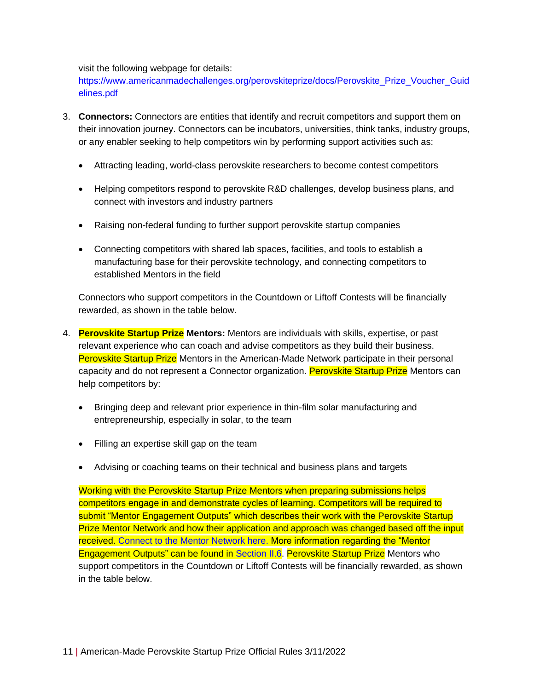visit the following webpage for details:

[https://www.americanmadechallenges.org/perovskiteprize/docs/Perovskite\\_Prize\\_Voucher\\_Guid](https://www.americanmadechallenges.org/perovskiteprize/docs/Perovskite_Prize_Voucher_Guidelines.pdf)  [elines.pdf](https://www.americanmadechallenges.org/perovskiteprize/docs/Perovskite_Prize_Voucher_Guidelines.pdf) 

- 3. **Connectors:** Connectors are entities that identify and recruit competitors and support them on their innovation journey. Connectors can be incubators, universities, think tanks, industry groups, or any enabler seeking to help competitors win by performing support activities such as:
	- Attracting leading, world-class perovskite researchers to become contest competitors
	- Helping competitors respond to perovskite R&D challenges, develop business plans, and connect with investors and industry partners
	- Raising non-federal funding to further support perovskite startup companies
	- • Connecting competitors with shared lab spaces, facilities, and tools to establish a manufacturing base for their perovskite technology, and connecting competitors to established Mentors in the field

Connectors who support competitors in the Countdown or Liftoff Contests will be financially rewarded, as shown in the table below.

- 4. **Perovskite Startup Prize Mentors:** Mentors are individuals with skills, expertise, or past relevant experience who can coach and advise competitors as they build their business. Perovskite Startup Prize Mentors in the American-Made Network participate in their personal capacity and do not represent a Connector organization. Perovskite Startup Prize Mentors can help competitors by:
	- Bringing deep and relevant prior experience in thin-film solar manufacturing and entrepreneurship, especially in solar, to the team
	- Filling an expertise skill gap on the team
	- Advising or coaching teams on their technical and business plans and targets

 competitors engage in and demonstrate cycles of learning. Competitors will be required to Prize Mentor Network and how their application and approach was changed based off the input Engagement Outputs" can be found in [Section II.6.](#page-20-0) Perovskite Startup Prize Mentors who Working with the Perovskite Startup Prize Mentors when preparing submissions helps submit "Mentor Engagement Outputs" which describes their work with the Perovskite Startup received. [Connect to the Mentor Network here.](https://www.herox.com/perovskiteprize/178-mentor-network) More information regarding the "Mentor support competitors in the Countdown or Liftoff Contests will be financially rewarded, as shown in the table below.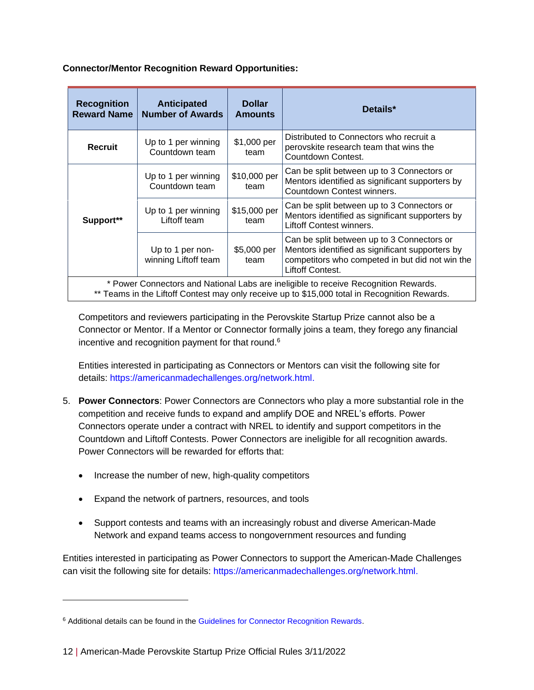**Connector/Mentor Recognition Reward Opportunities:** 

| <b>Recognition</b><br><b>Reward Name</b>                                                                                                                                             | <b>Anticipated</b><br><b>Number of Awards</b> | <b>Dollar</b><br><b>Amounts</b> | Details*                                                                                                                                                             |
|--------------------------------------------------------------------------------------------------------------------------------------------------------------------------------------|-----------------------------------------------|---------------------------------|----------------------------------------------------------------------------------------------------------------------------------------------------------------------|
| <b>Recruit</b>                                                                                                                                                                       | Up to 1 per winning<br>Countdown team         | \$1,000 per<br>team             | Distributed to Connectors who recruit a<br>perovskite research team that wins the<br>Countdown Contest.                                                              |
|                                                                                                                                                                                      | Up to 1 per winning<br>Countdown team         | \$10,000 per<br>team            | Can be split between up to 3 Connectors or<br>Mentors identified as significant supporters by<br>Countdown Contest winners.                                          |
| Support**                                                                                                                                                                            | Up to 1 per winning<br>Liftoff team           | \$15,000 per<br>team            | Can be split between up to 3 Connectors or<br>Mentors identified as significant supporters by<br>Liftoff Contest winners.                                            |
|                                                                                                                                                                                      | Up to 1 per non-<br>winning Liftoff team      | \$5,000 per<br>team             | Can be split between up to 3 Connectors or<br>Mentors identified as significant supporters by<br>competitors who competed in but did not win the<br>Liftoff Contest. |
| * Power Connectors and National Labs are ineligible to receive Recognition Rewards.<br>** Teams in the Liftoff Contest may only receive up to \$15,000 total in Recognition Rewards. |                                               |                                 |                                                                                                                                                                      |

 Connector or Mentor. If a Mentor or Connector formally joins a team, they forego any financial incentive and recognition payment for that round. $6$ Competitors and reviewers participating in the Perovskite Startup Prize cannot also be a

Entities interested in participating as Connectors or Mentors can visit the following site for details: [https://americanmadechallenges.org/network.html.](https://americanmadechallenges.org/network.html)

- competition and receive funds to expand and amplify DOE and NREL's efforts. Power Connectors operate under a contract with NREL to identify and support competitors in the 5. **Power Connectors**: Power Connectors are Connectors who play a more substantial role in the Countdown and Liftoff Contests. Power Connectors are ineligible for all recognition awards. Power Connectors will be rewarded for efforts that:
	- Increase the number of new, high-quality competitors
	- Expand the network of partners, resources, and tools
	- Support contests and teams with an increasingly robust and diverse American-Made Network and expand teams access to nongovernment resources and funding

Entities interested in participating as Power Connectors to support the American-Made Challenges can visit the following site for details: [https://americanmadechallenges.org/network.html.](https://americanmadechallenges.org/network.html)

<sup>&</sup>lt;sup>6</sup> Additional details can be found in the [Guidelines for Connector Recognition Rewards.](https://www.americanmadechallenges.org/perovskiteprize/docs/Perovskite_Prize_Connector_Guidelines.pdf)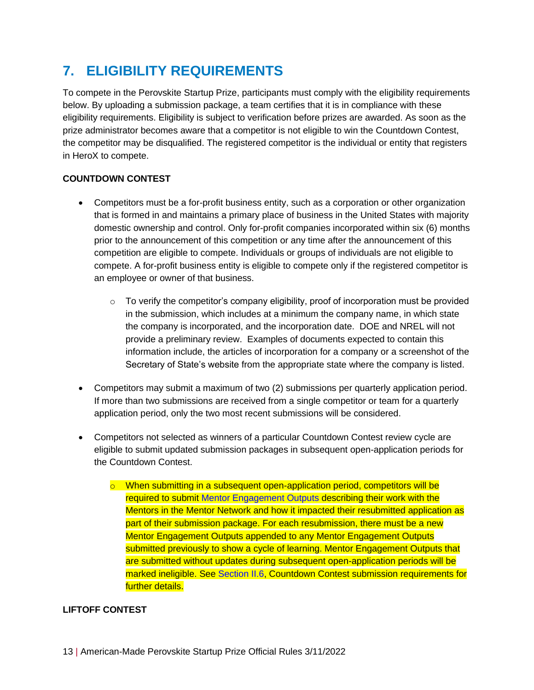## <span id="page-12-0"></span>**7. ELIGIBILITY REQUIREMENTS**

 below. By uploading a submission package, a team certifies that it is in compliance with these prize administrator becomes aware that a competitor is not eligible to win the Countdown Contest, To compete in the Perovskite Startup Prize, participants must comply with the eligibility requirements eligibility requirements. Eligibility is subject to verification before prizes are awarded. As soon as the the competitor may be disqualified. The registered competitor is the individual or entity that registers in HeroX to compete.

#### **COUNTDOWN CONTEST**

- prior to the announcement of this competition or any time after the announcement of this compete. A for-profit business entity is eligible to compete only if the registered competitor is an employee or owner of that business. • Competitors must be a for-profit business entity, such as a corporation or other organization that is formed in and maintains a primary place of business in the United States with majority domestic ownership and control. Only for-profit companies incorporated within six (6) months competition are eligible to compete. Individuals or groups of individuals are not eligible to
	- $\circ$  To verify the competitor's company eligibility, proof of incorporation must be provided in the submission, which includes at a minimum the company name, in which state the company is incorporated, and the incorporation date. DOE and NREL will not provide a preliminary review. Examples of documents expected to contain this information include, the articles of incorporation for a company or a screenshot of the Secretary of State's website from the appropriate state where the company is listed.
- • Competitors may submit a maximum of two (2) submissions per quarterly application period. application period, only the two most recent submissions will be considered. If more than two submissions are received from a single competitor or team for a quarterly
- • Competitors not selected as winners of a particular Countdown Contest review cycle are eligible to submit updated submission packages in subsequent open-application periods for the Countdown Contest.
	- $\circ$  When submitting in a subsequent open-application period, competitors will be Mentors in the Mentor Network and how it impacted their resubmitted application as part of their submission package. For each resubmission, there must be a new submitted previously to show a cycle of learning. Mentor Engagement Outputs that required to submit [Mentor Engagement Outputs](#page-20-0) describing their work with the Mentor Engagement Outputs appended to any Mentor Engagement Outputs are submitted without updates during subsequent open-application periods will be marked ineligible. See [Section II.6,](#page-20-0) Countdown Contest submission requirements for further details.

#### **LIFTOFF CONTEST**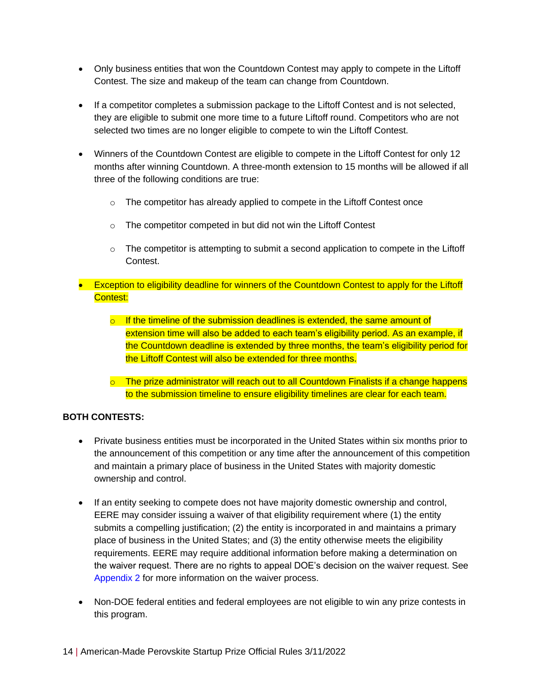- Only business entities that won the Countdown Contest may apply to compete in the Liftoff Contest. The size and makeup of the team can change from Countdown.
- • If a competitor completes a submission package to the Liftoff Contest and is not selected, they are eligible to submit one more time to a future Liftoff round. Competitors who are not selected two times are no longer eligible to compete to win the Liftoff Contest.
- Winners of the Countdown Contest are eligible to compete in the Liftoff Contest for only 12 months after winning Countdown. A three-month extension to 15 months will be allowed if all three of the following conditions are true:
	- $\circ$  The competitor has already applied to compete in the Liftoff Contest once
	- o The competitor competed in but did not win the Liftoff Contest
	- $\circ$  The competitor is attempting to submit a second application to compete in the Liftoff Contest.
- Exception to eligibility deadline for winners of the Countdown Contest to apply for the Liftoff Contest:
	- extension time will also be added to each team's eligibility period. As an example, if the Liftoff Contest will also be extended for three months.  $\circ$  If the timeline of the submission deadlines is extended, the same amount of the Countdown deadline is extended by three months, the team's eligibility period for
	- $\circ$  The prize administrator will reach out to all Countdown Finalists if a change happens to the submission timeline to ensure eligibility timelines are clear for each team.

#### **BOTH CONTESTS:**

- the announcement of this competition or any time after the announcement of this competition • Private business entities must be incorporated in the United States within six months prior to and maintain a primary place of business in the United States with majority domestic ownership and control.
- EERE may consider issuing a waiver of that eligibility requirement where (1) the entity requirements. EERE may require additional information before making a determination on • If an entity seeking to compete does not have majority domestic ownership and control, submits a compelling justification; (2) the entity is incorporated in and maintains a primary place of business in the United States; and (3) the entity otherwise meets the eligibility the waiver request. There are no rights to appeal DOE's decision on the waiver request. See [Appendix 2](#page-47-0) for more information on the waiver process.
- • Non-DOE federal entities and federal employees are not eligible to win any prize contests in this program.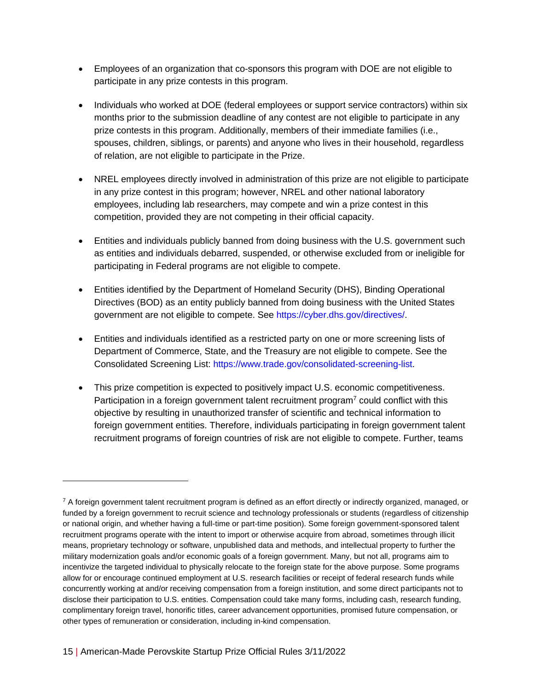- • Employees of an organization that co-sponsors this program with DOE are not eligible to participate in any prize contests in this program.
- • Individuals who worked at DOE (federal employees or support service contractors) within six prize contests in this program. Additionally, members of their immediate families (i.e., spouses, children, siblings, or parents) and anyone who lives in their household, regardless of relation, are not eligible to participate in the Prize. months prior to the submission deadline of any contest are not eligible to participate in any
- in any prize contest in this program; however, NREL and other national laboratory competition, provided they are not competing in their official capacity. • NREL employees directly involved in administration of this prize are not eligible to participate employees, including lab researchers, may compete and win a prize contest in this
- as entities and individuals debarred, suspended, or otherwise excluded from or ineligible for • Entities and individuals publicly banned from doing business with the U.S. government such participating in Federal programs are not eligible to compete.
- • Entities identified by the Department of Homeland Security (DHS), Binding Operational government are not eligible to compete. See [https://cyber.dhs.gov/directives/.](https://cyber.dhs.gov/directives/) Directives (BOD) as an entity publicly banned from doing business with the United States
- Department of Commerce, State, and the Treasury are not eligible to compete. See the • Entities and individuals identified as a restricted party on one or more screening lists of Consolidated Screening List: [https://www.trade.gov/consolidated-screening-list.](https://www.trade.gov/consolidated-screening-list)
- • This prize competition is expected to positively impact U.S. economic competitiveness. Participation in a foreign government talent recruitment program<sup>7</sup> could conflict with this foreign government entities. Therefore, individuals participating in foreign government talent recruitment programs of foreign countries of risk are not eligible to compete. Further, teams objective by resulting in unauthorized transfer of scientific and technical information to

 recruitment programs operate with the intent to import or otherwise acquire from abroad, sometimes through illicit concurrently working at and/or receiving compensation from a foreign institution, and some direct participants not to  $7$  A foreign government talent recruitment program is defined as an effort directly or indirectly organized, managed, or funded by a foreign government to recruit science and technology professionals or students (regardless of citizenship or national origin, and whether having a full-time or part-time position). Some foreign government-sponsored talent means, proprietary technology or software, unpublished data and methods, and intellectual property to further the military modernization goals and/or economic goals of a foreign government. Many, but not all, programs aim to incentivize the targeted individual to physically relocate to the foreign state for the above purpose. Some programs allow for or encourage continued employment at U.S. research facilities or receipt of federal research funds while disclose their participation to U.S. entities. Compensation could take many forms, including cash, research funding, complimentary foreign travel, honorific titles, career advancement opportunities, promised future compensation, or other types of remuneration or consideration, including in-kind compensation.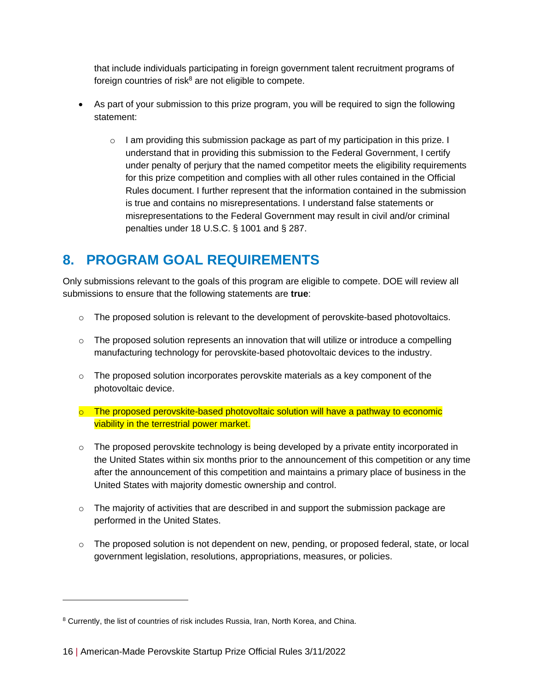that include individuals participating in foreign government talent recruitment programs of foreign countries of risk $8$  are not eligible to compete.

- • As part of your submission to this prize program, you will be required to sign the following statement:
	- $\circ$  I am providing this submission package as part of my participation in this prize. I under penalty of perjury that the named competitor meets the eligibility requirements Rules document. I further represent that the information contained in the submission is true and contains no misrepresentations. I understand false statements or misrepresentations to the Federal Government may result in civil and/or criminal penalties under 18 U.S.C. § 1001 and § 287. understand that in providing this submission to the Federal Government, I certify for this prize competition and complies with all other rules contained in the Official

## <span id="page-15-0"></span>**8. PROGRAM GOAL REQUIREMENTS**

 Only submissions relevant to the goals of this program are eligible to compete. DOE will review all submissions to ensure that the following statements are **true**:

- $\circ$  The proposed solution is relevant to the development of perovskite-based photovoltaics.
- $\circ$  The proposed solution represents an innovation that will utilize or introduce a compelling manufacturing technology for perovskite-based photovoltaic devices to the industry.
- $\circ$  The proposed solution incorporates perovskite materials as a key component of the photovoltaic device.
- $\circ$  The proposed perovskite-based photovoltaic solution will have a pathway to economic viability in the terrestrial power market.
- the United States within six months prior to the announcement of this competition or any time after the announcement of this competition and maintains a primary place of business in the  $\circ$  The proposed perovskite technology is being developed by a private entity incorporated in United States with majority domestic ownership and control.
- $\circ$  The majority of activities that are described in and support the submission package are performed in the United States.
- $\circ$  The proposed solution is not dependent on new, pending, or proposed federal, state, or local government legislation, resolutions, appropriations, measures, or policies.

<sup>8</sup> Currently, the list of countries of risk includes Russia, Iran, North Korea, and China.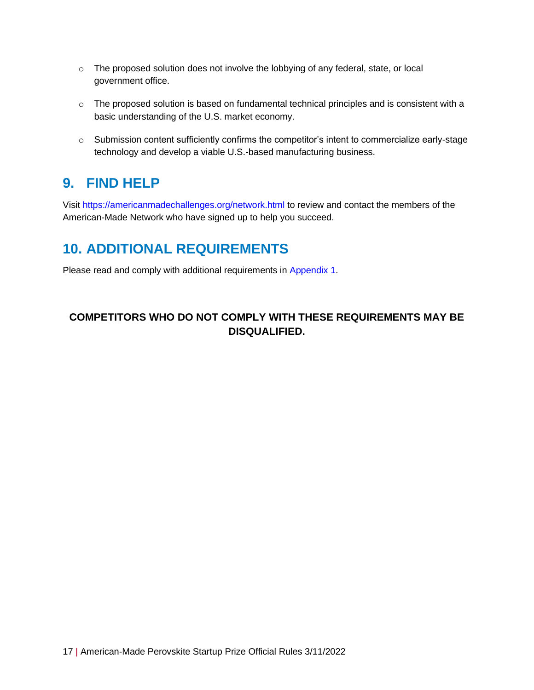- $\circ$  The proposed solution does not involve the lobbying of any federal, state, or local government office.
- $\circ$  The proposed solution is based on fundamental technical principles and is consistent with a basic understanding of the U.S. market economy.
- o Submission content sufficiently confirms the competitor's intent to commercialize early-stage technology and develop a viable U.S.-based manufacturing business.

## <span id="page-16-0"></span>**9. FIND HELP**

Visit<https://americanmadechallenges.org/network.html>to review and contact the members of the American-Made Network who have signed up to help you succeed.

## <span id="page-16-1"></span>**10. ADDITIONAL REQUIREMENTS**

Please read and comply with additional requirements in [Appendix 1.](#page-38-2)

#### **COMPETITORS WHO DO NOT COMPLY WITH THESE REQUIREMENTS MAY BE DISQUALIFIED.**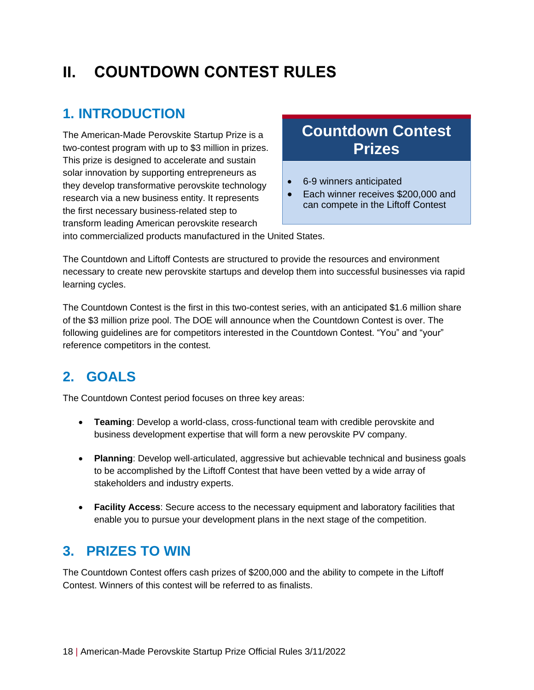# <span id="page-17-0"></span>**II. COUNTDOWN CONTEST RULES**

## <span id="page-17-1"></span>**1. INTRODUCTION**

two-contest program with up to \$3 million in prizes.<br>This prize is designed to accelerate and sustain The American-Made Perovskite Startup Prize is a solar innovation by supporting entrepreneurs as they develop transformative perovskite technology research via a new business entity. It represents the first necessary business-related step to transform leading American perovskite research

## **Countdown Contest Prizes**

- 6-9 winners anticipated
- can compete in the Liftoff Contest • Each winner receives \$200,000 and

into commercialized products manufactured in the United States.

The Countdown and Liftoff Contests are structured to provide the resources and environment necessary to create new perovskite startups and develop them into successful businesses via rapid learning cycles.

 of the \$3 million prize pool. The DOE will announce when the Countdown Contest is over. The The Countdown Contest is the first in this two-contest series, with an anticipated \$1.6 million share following guidelines are for competitors interested in the Countdown Contest. "You" and "your" reference competitors in the contest.

## <span id="page-17-2"></span>**2. GOALS**

The Countdown Contest period focuses on three key areas:

- • **Teaming**: Develop a world-class, cross-functional team with credible perovskite and business development expertise that will form a new perovskite PV company.
- **Planning**: Develop well-articulated, aggressive but achievable technical and business goals to be accomplished by the Liftoff Contest that have been vetted by a wide array of stakeholders and industry experts.
- enable you to pursue your development plans in the next stage of the competition. • **Facility Access**: Secure access to the necessary equipment and laboratory facilities that

### <span id="page-17-3"></span>**3. PRIZES TO WIN**

 Contest. Winners of this contest will be referred to as finalists. The Countdown Contest offers cash prizes of \$200,000 and the ability to compete in the Liftoff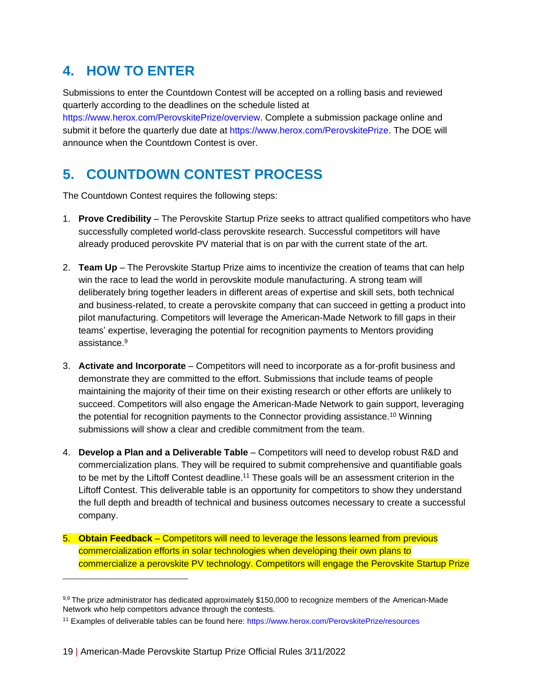## <span id="page-18-0"></span>**4. HOW TO ENTER**

 Submissions to enter the Countdown Contest will be accepted on a rolling basis and reviewed submit it before the quarterly due date at [https://www.herox.com/PerovskitePrize.](https://www.herox.com/PerovskitePrize) The DOE will quarterly according to the deadlines on the schedule listed at [https://www.herox.com/PerovskitePrize/overview.](https://www.herox.com/PerovskitePrize/overview) Complete a submission package online and announce when the Countdown Contest is over.

## <span id="page-18-1"></span>**5. COUNTDOWN CONTEST PROCESS**

The Countdown Contest requires the following steps:

- already produced perovskite PV material that is on par with the current state of the art. 1. **Prove Credibility** – The Perovskite Startup Prize seeks to attract qualified competitors who have successfully completed world-class perovskite research. Successful competitors will have
- 2. **Team Up**  The Perovskite Startup Prize aims to incentivize the creation of teams that can help win the race to lead the world in perovskite module manufacturing. A strong team will deliberately bring together leaders in different areas of expertise and skill sets, both technical pilot manufacturing. Competitors will leverage the American-Made Network to fill gaps in their and business-related, to create a perovskite company that can succeed in getting a product into teams' expertise, leveraging the potential for recognition payments to Mentors providing assistance.<sup>9</sup>
- maintaining the majority of their time on their existing research or other efforts are unlikely to submissions will show a clear and credible commitment from the team. 3. **Activate and Incorporate** – Competitors will need to incorporate as a for-profit business and demonstrate they are committed to the effort. Submissions that include teams of people succeed. Competitors will also engage the American-Made Network to gain support, leveraging the potential for recognition payments to the Connector providing [assistance.](https://assistance.10)<sup>10</sup> Winning
- the full depth and breadth of technical and business outcomes necessary to create a successful 4. **Develop a Plan and a Deliverable Table** – Competitors will need to develop robust R&D and commercialization plans. They will be required to submit comprehensive and quantifiable goals to be met by the Liftoff Contest [deadline.](https://deadline.11)<sup>11</sup> These goals will be an assessment criterion in the Liftoff Contest. This deliverable table is an opportunity for competitors to show they understand company.
- 5. **Obtain Feedback**  Competitors will need to leverage the lessons learned from previous commercialization efforts in solar technologies when developing their own plans to commercialize a perovskite PV technology. Competitors will engage the Perovskite Startup Prize

<sup>9,9</sup> The prize administrator has dedicated approximately \$150,000 to recognize members of the American-Made Network who help competitors advance through the contests.

<sup>11</sup> Examples of deliverable tables can be found here:<https://www.herox.com/PerovskitePrize/resources>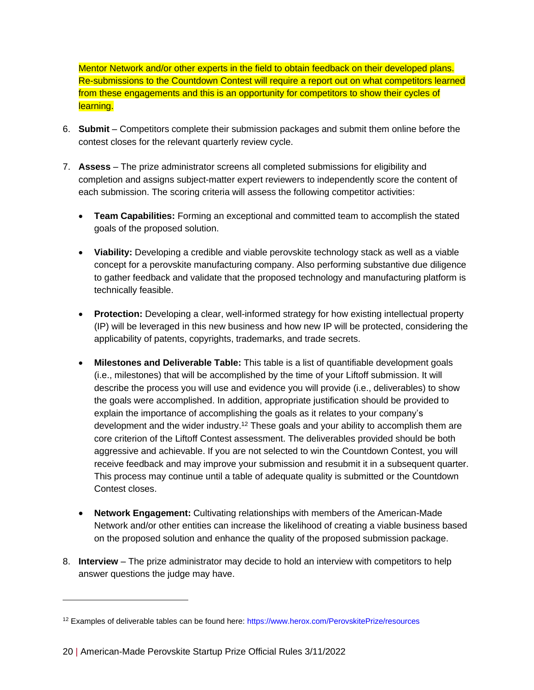Mentor Network and/or other experts in the field to obtain feedback on their developed plans. Mentor Network and/or other experts in the field to obtain feedback on their developed plans.<br>Re-submissions to the Countdown Contest will require a report out on what competitors learned from these engagements and this is an opportunity for competitors to show their cycles of learning.

- contest closes for the relevant quarterly review cycle. 6. **Submit** – Competitors complete their submission packages and submit them online before the
- completion and assigns subject-matter expert reviewers to independently score the content of each submission. The scoring criteria will assess the following competitor activities: 7. **Assess** – The prize administrator screens all completed submissions for eligibility and
	- **Team Capabilities:** Forming an exceptional and committed team to accomplish the stated goals of the proposed solution.
	- **Viability:** Developing a credible and viable perovskite technology stack as well as a viable concept for a perovskite manufacturing company. Also performing substantive due diligence to gather feedback and validate that the proposed technology and manufacturing platform is technically feasible.
	- (IP) will be leveraged in this new business and how new IP will be protected, considering the applicability of patents, copyrights, trademarks, and trade secrets. • **Protection:** Developing a clear, well-informed strategy for how existing intellectual property
	- • **Milestones and Deliverable Table:** This table is a list of quantifiable development goals (i.e., milestones) that will be accomplished by the time of your Liftoff submission. It will the goals were accomplished. In addition, appropriate justification should be provided to aggressive and achievable. If you are not selected to win the Countdown Contest, you will receive feedback and may improve your submission and resubmit it in a subsequent quarter. This process may continue until a table of adequate quality is submitted or the Countdown describe the process you will use and evidence you will provide (i.e., deliverables) to show explain the importance of accomplishing the goals as it relates to your company's development and the wider [industry.12](https://industry.12) These goals and your ability to accomplish them are core criterion of the Liftoff Contest assessment. The deliverables provided should be both Contest closes.
	- **Network Engagement:** Cultivating relationships with members of the American-Made Network and/or other entities can increase the likelihood of creating a viable business based on the proposed solution and enhance the quality of the proposed submission package.
- 8. **Interview**  The prize administrator may decide to hold an interview with competitors to help answer questions the judge may have.

<sup>12</sup> Examples of deliverable tables can be found here:<https://www.herox.com/PerovskitePrize/resources>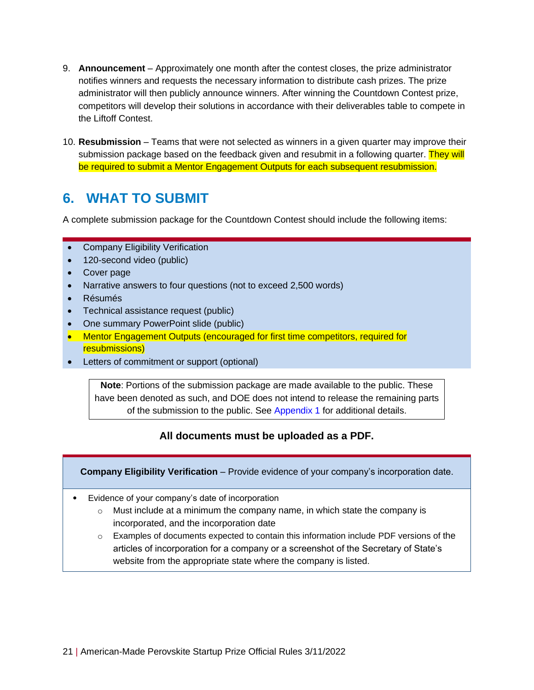- administrator will then publicly announce winners. After winning the Countdown Contest prize, 9. **Announcement** – Approximately one month after the contest closes, the prize administrator notifies winners and requests the necessary information to distribute cash prizes. The prize competitors will develop their solutions in accordance with their deliverables table to compete in the Liftoff Contest.
- 10. **Resubmission**  Teams that were not selected as winners in a given quarter may improve their submission package based on the feedback given and resubmit in a following quarter. They will be required to submit a Mentor Engagement Outputs for each subsequent resubmission.

### <span id="page-20-0"></span>**6. WHAT TO SUBMIT**

A complete submission package for the Countdown Contest should include the following items:

- Company Eligibility Verification
- 120-second video (public)
- Cover page
- Narrative answers to four questions (not to exceed 2,500 words)
- Résumés
- Technical assistance request (public)
- One summary PowerPoint slide (public)
- Mentor Engagement Outputs (encouraged for first time competitors, required for resubmissions)
- Letters of commitment or support (optional)

 **Note**: Portions of the submission package are made available to the public. These have been denoted as such, and DOE does not intend to release the remaining parts of the submission to the public. See [Appendix 1](#page-38-2) for additional details.

#### **All documents must be uploaded as a PDF.**

**Company Eligibility Verification** – Provide evidence of your company's incorporation date.

- Evidence of your company's date of incorporation
	- $\circ$  Must include at a minimum the company name, in which state the company is incorporated, and the incorporation date
	- $\circ$  Examples of documents expected to contain this information include PDF versions of the articles of incorporation for a company or a screenshot of the Secretary of State's website from the appropriate state where the company is listed.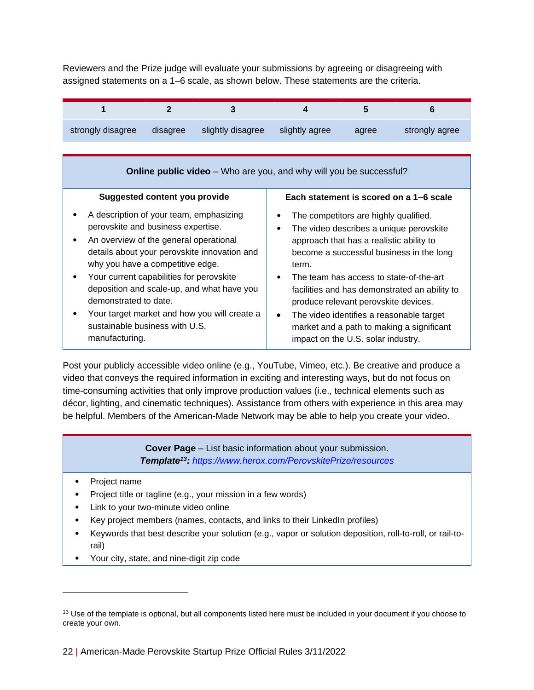Reviewers and the Prize judge will evaluate your submissions by agreeing or disagreeing with assigned statements on a 1–6 scale, as shown below. These statements are the criteria.



| <b>Online public video</b> – Who are you, and why will you be successful?                                                                                                                                                                                                                                                                                                                                                          |                                                                                                                                                                                                                                                                                                                                                                                                                                                                                             |  |  |  |
|------------------------------------------------------------------------------------------------------------------------------------------------------------------------------------------------------------------------------------------------------------------------------------------------------------------------------------------------------------------------------------------------------------------------------------|---------------------------------------------------------------------------------------------------------------------------------------------------------------------------------------------------------------------------------------------------------------------------------------------------------------------------------------------------------------------------------------------------------------------------------------------------------------------------------------------|--|--|--|
| <b>Suggested content you provide</b>                                                                                                                                                                                                                                                                                                                                                                                               | Each statement is scored on a 1–6 scale                                                                                                                                                                                                                                                                                                                                                                                                                                                     |  |  |  |
| A description of your team, emphasizing<br>perovskite and business expertise.<br>An overview of the general operational<br>details about your perovskite innovation and<br>why you have a competitive edge.<br>Your current capabilities for perovskite<br>deposition and scale-up, and what have you<br>demonstrated to date.<br>Your target market and how you will create a<br>sustainable business with U.S.<br>manufacturing. | The competitors are highly qualified.<br>The video describes a unique perovskite<br>$\bullet$<br>approach that has a realistic ability to<br>become a successful business in the long<br>term.<br>The team has access to state-of-the-art<br>$\bullet$<br>facilities and has demonstrated an ability to<br>produce relevant perovskite devices.<br>The video identifies a reasonable target<br>$\bullet$<br>market and a path to making a significant<br>impact on the U.S. solar industry. |  |  |  |

 Post your publicly accessible video online (e.g., YouTube, Vimeo, etc.). Be creative and produce a video that conveys the required information in exciting and interesting ways, but do not focus on time-consuming activities that only improve production values (i.e., technical elements such as décor, lighting, and cinematic techniques). Assistance from others with experience in this area may be helpful. Members of the American-Made Network may be able to help you create your video.

> **Cover Page** *–* List basic information about your submission. *Template13: <https://www.herox.com/PerovskitePrize/resources>*

- Project name
- Project title or tagline (e.g., your mission in a few words)
- Link to your two-minute video online
- Key project members (names, contacts, and links to their LinkedIn profiles)
- Keywords that best describe your solution (e.g., vapor or solution deposition, roll-to-roll, or rail-torail)
- Your city, state, and nine-digit zip code

 $13$  Use of the template is optional, but all components listed here must be included in your document if you choose to create your own.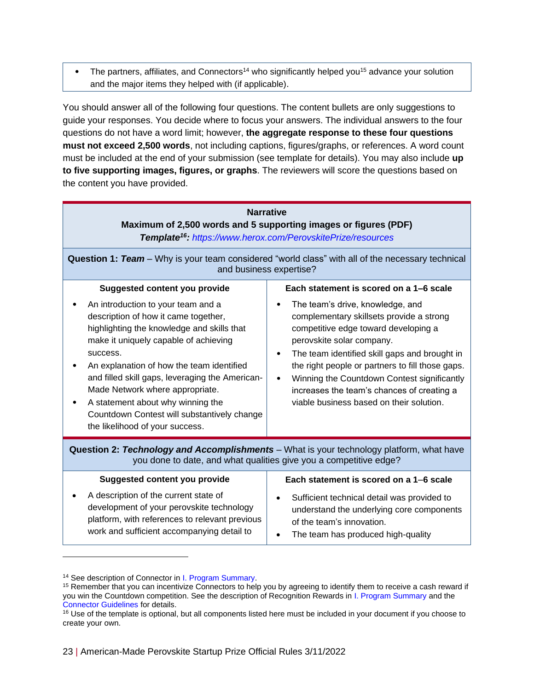The partners, affiliates, and Connectors<sup>14</sup> who significantly helped you<sup>15</sup> advance your solution and the major items they helped with (if applicable).

 questions do not have a word limit; however, **the aggregate response to these four questions must not exceed 2,500 words**, not including captions, figures/graphs, or references. A word count must be included at the end of your submission (see template for details). You may also include **up to five supporting images, figures, or graphs**. The reviewers will score the questions based on You should answer all of the following four questions. The content bullets are only suggestions to guide your responses. You decide where to focus your answers. The individual answers to the four the content you have provided.

| <b>Narrative</b><br>Maximum of 2,500 words and 5 supporting images or figures (PDF)<br>Template <sup>16</sup> : https://www.herox.com/PerovskitePrize/resources                                                                                                                                                                                                                                                                         |                                                                                                                                                                                                                                                                                                                                                                                                                           |  |  |  |
|-----------------------------------------------------------------------------------------------------------------------------------------------------------------------------------------------------------------------------------------------------------------------------------------------------------------------------------------------------------------------------------------------------------------------------------------|---------------------------------------------------------------------------------------------------------------------------------------------------------------------------------------------------------------------------------------------------------------------------------------------------------------------------------------------------------------------------------------------------------------------------|--|--|--|
| <b>Question 1: Team</b> – Why is your team considered "world class" with all of the necessary technical<br>and business expertise?                                                                                                                                                                                                                                                                                                      |                                                                                                                                                                                                                                                                                                                                                                                                                           |  |  |  |
| <b>Suggested content you provide</b>                                                                                                                                                                                                                                                                                                                                                                                                    | Each statement is scored on a 1-6 scale                                                                                                                                                                                                                                                                                                                                                                                   |  |  |  |
| An introduction to your team and a<br>description of how it came together,<br>highlighting the knowledge and skills that<br>make it uniquely capable of achieving<br>success.<br>An explanation of how the team identified<br>and filled skill gaps, leveraging the American-<br>Made Network where appropriate.<br>A statement about why winning the<br>Countdown Contest will substantively change<br>the likelihood of your success. | The team's drive, knowledge, and<br>complementary skillsets provide a strong<br>competitive edge toward developing a<br>perovskite solar company.<br>The team identified skill gaps and brought in<br>$\bullet$<br>the right people or partners to fill those gaps.<br>Winning the Countdown Contest significantly<br>$\bullet$<br>increases the team's chances of creating a<br>viable business based on their solution. |  |  |  |
| Question 2: Technology and Accomplishments - What is your technology platform, what have<br>you done to date, and what qualities give you a competitive edge?                                                                                                                                                                                                                                                                           |                                                                                                                                                                                                                                                                                                                                                                                                                           |  |  |  |
| <b>Suggested content you provide</b>                                                                                                                                                                                                                                                                                                                                                                                                    | Each statement is scored on a 1-6 scale                                                                                                                                                                                                                                                                                                                                                                                   |  |  |  |
| A description of the current state of<br>development of your perovskite technology<br>platform, with references to relevant previous<br>work and sufficient accompanying detail to                                                                                                                                                                                                                                                      | Sufficient technical detail was provided to<br>understand the underlying core components<br>of the team's innovation.<br>The team has produced high-quality                                                                                                                                                                                                                                                               |  |  |  |

<sup>&</sup>lt;sup>14</sup> See description of Connector in I. Program Summary.<br><sup>15</sup> Remember that you can incentivize Connectors to help you by agreeing to identify them to receive a cash reward if you win the Countdown competition. See the description of Recognition Rewards in [I. Program Summary](#page-9-2) and the

[Connector Guidelines](https://www.americanmadechallenges.org/perovskiteprize/docs/Perovskite_Prize_Connector_Guidelines.pdf) for details.<br><sup>16</sup> Use of the template is optional, but all components listed here must be included in your document if you choose to create your own.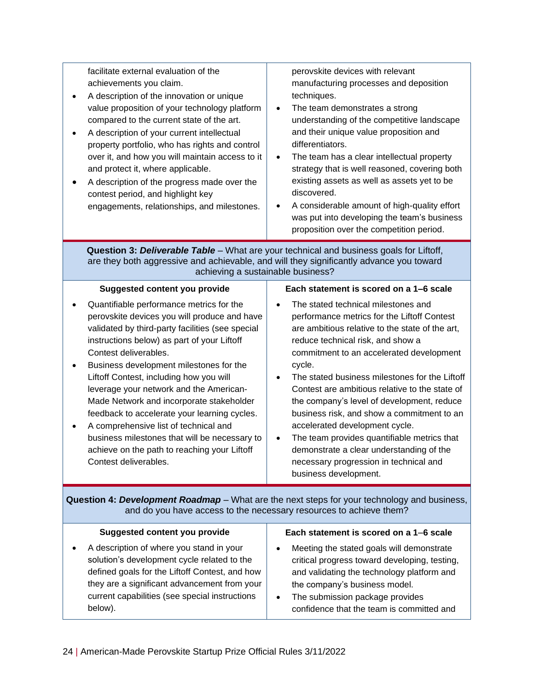| facilitate external evaluation of the<br>achievements you claim.<br>A description of the innovation or unique<br>value proposition of your technology platform<br>compared to the current state of the art.<br>A description of your current intellectual<br>property portfolio, who has rights and control<br>over it, and how you will maintain access to it<br>and protect it, where applicable.<br>A description of the progress made over the<br>contest period, and highlight key<br>engagements, relationships, and milestones.                                                                               | perovskite devices with relevant<br>manufacturing processes and deposition<br>techniques.<br>The team demonstrates a strong<br>$\bullet$<br>understanding of the competitive landscape<br>and their unique value proposition and<br>differentiators.<br>The team has a clear intellectual property<br>$\bullet$<br>strategy that is well reasoned, covering both<br>existing assets as well as assets yet to be<br>discovered.<br>A considerable amount of high-quality effort<br>$\bullet$<br>was put into developing the team's business<br>proposition over the competition period.                                                             |  |  |
|----------------------------------------------------------------------------------------------------------------------------------------------------------------------------------------------------------------------------------------------------------------------------------------------------------------------------------------------------------------------------------------------------------------------------------------------------------------------------------------------------------------------------------------------------------------------------------------------------------------------|----------------------------------------------------------------------------------------------------------------------------------------------------------------------------------------------------------------------------------------------------------------------------------------------------------------------------------------------------------------------------------------------------------------------------------------------------------------------------------------------------------------------------------------------------------------------------------------------------------------------------------------------------|--|--|
| Question 3: Deliverable Table - What are your technical and business goals for Liftoff,<br>are they both aggressive and achievable, and will they significantly advance you toward<br>achieving a sustainable business?                                                                                                                                                                                                                                                                                                                                                                                              |                                                                                                                                                                                                                                                                                                                                                                                                                                                                                                                                                                                                                                                    |  |  |
| <b>Suggested content you provide</b>                                                                                                                                                                                                                                                                                                                                                                                                                                                                                                                                                                                 | Each statement is scored on a 1-6 scale                                                                                                                                                                                                                                                                                                                                                                                                                                                                                                                                                                                                            |  |  |
| Quantifiable performance metrics for the<br>perovskite devices you will produce and have<br>validated by third-party facilities (see special<br>instructions below) as part of your Liftoff<br>Contest deliverables.<br>Business development milestones for the<br>Liftoff Contest, including how you will<br>leverage your network and the American-<br>Made Network and incorporate stakeholder<br>feedback to accelerate your learning cycles.<br>A comprehensive list of technical and<br>business milestones that will be necessary to<br>achieve on the path to reaching your Liftoff<br>Contest deliverables. | The stated technical milestones and<br>$\bullet$<br>performance metrics for the Liftoff Contest<br>are ambitious relative to the state of the art,<br>reduce technical risk, and show a<br>commitment to an accelerated development<br>cycle.<br>The stated business milestones for the Liftoff<br>٠<br>Contest are ambitious relative to the state of<br>the company's level of development, reduce<br>business risk, and show a commitment to an<br>accelerated development cycle.<br>The team provides quantifiable metrics that<br>demonstrate a clear understanding of the<br>necessary progression in technical and<br>business development. |  |  |
| <b>Question 4: Development Roadmap</b> – What are the next steps for your technology and business,<br>and do you have access to the necessary resources to achieve them?                                                                                                                                                                                                                                                                                                                                                                                                                                             |                                                                                                                                                                                                                                                                                                                                                                                                                                                                                                                                                                                                                                                    |  |  |
| <b>Suggested content you provide</b>                                                                                                                                                                                                                                                                                                                                                                                                                                                                                                                                                                                 | Each statement is scored on a 1-6 scale                                                                                                                                                                                                                                                                                                                                                                                                                                                                                                                                                                                                            |  |  |
| A description of where you stand in your<br>solution's development cycle related to the<br>defined goals for the Liftoff Contest, and how<br>they are a significant advancement from your<br>current capabilities (see special instructions                                                                                                                                                                                                                                                                                                                                                                          | Meeting the stated goals will demonstrate<br>critical progress toward developing, testing,<br>and validating the technology platform and<br>the company's business model.<br>The submission package provides                                                                                                                                                                                                                                                                                                                                                                                                                                       |  |  |

confidence that the team is committed and

below).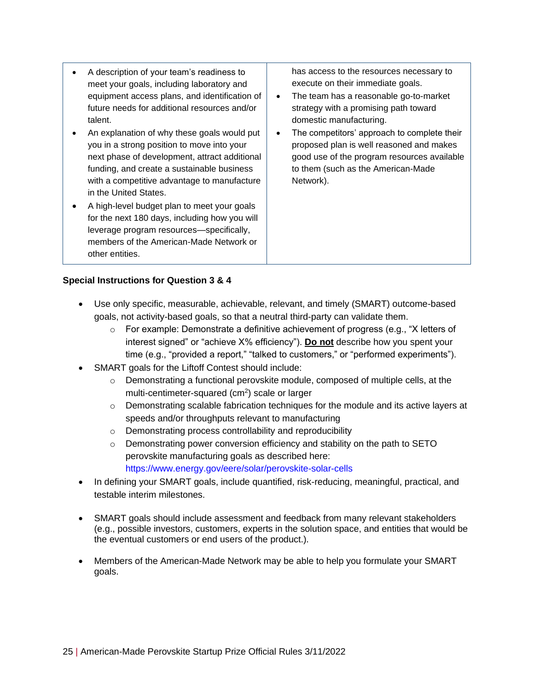| A description of your team's readiness to     | ha  |
|-----------------------------------------------|-----|
| meet your goals, including laboratory and     | ex  |
| equipment access plans, and identification of | Гŀ  |
| future needs for additional resources and/or  | stı |
| talent.                                       | dc  |
| An explanation of why these goals would put   |     |

- funding, and create a sustainable business  $\parallel$  to them (such as the American-Made with a competitive advantage to manufacture  $\vert$  Network). in the United States.
- for the next 180 days, including how you will • A high-level budget plan to meet your goals leverage program resources—specifically, members of the American-Made Network or other entities.

as access to the resources necessary to ecute on their immediate goals.

- e team has a reasonable go-to-market rategy with a promising path toward mestic manufacturing.
- $i$ nation of why these goals would put  $\|\bullet\|$  The competitors' approach to complete their you in a strong position to move into your proposed plan is well reasoned and makes next phase of development, attract additional good use of the program resources available

#### **Special Instructions for Question 3 & 4**

- • Use only specific, measurable, achievable, relevant, and timely (SMART) outcome-based goals, not activity-based goals, so that a neutral third-party can validate them.
	- $\circ$   $\;$  For example: Demonstrate a definitive achievement of progress (e.g., "X letters of interest signed" or "achieve X% efficiency"). **Do not** describe how you spent your time (e.g., "provided a report," "talked to customers," or "performed experiments").
- SMART goals for the Liftoff Contest should include:
	- $\circ$  Demonstrating a functional perovskite module, composed of multiple cells, at the multi-centimeter-squared ( $\text{cm}^2$ ) scale or larger
	- $\circ$  Demonstrating scalable fabrication techniques for the module and its active layers at speeds and/or throughputs relevant to manufacturing
	- o Demonstrating process controllability and reproducibility
	- $\circ$  Demonstrating power conversion efficiency and stability on the path to SETO perovskite manufacturing goals as described here: <https://www.energy.gov/eere/solar/perovskite-solar-cells>
- • In defining your SMART goals, include quantified, risk-reducing, meaningful, practical, and testable interim milestones.
- (e.g., possible investors, customers, experts in the solution space, and entities that would be • SMART goals should include assessment and feedback from many relevant stakeholders the eventual customers or end users of the product.).
- Members of the American-Made Network may be able to help you formulate your SMART goals.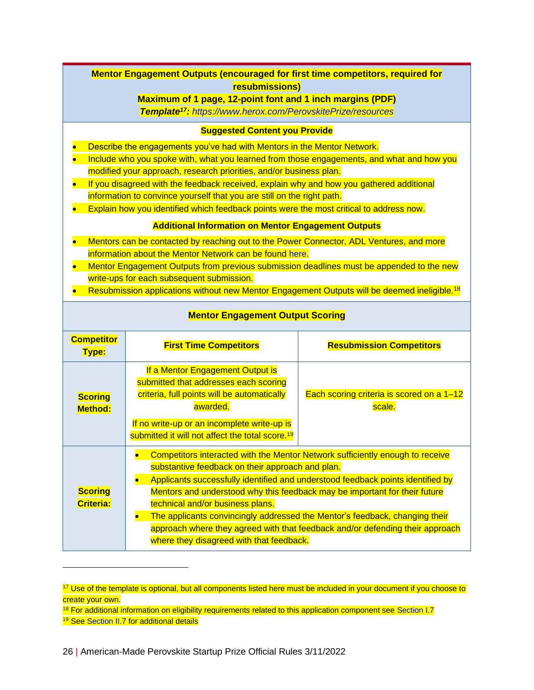#### **Mentor Engagement Outputs (encouraged for first time competitors, required for resubmissions)**

#### **Maximum of 1 page, 12-point font and 1 inch margins (PDF)**

*Template17: <https://www.herox.com/PerovskitePrize/resources>*

| <b>Suggested Content you Provide</b>    |                                                                                                            |                                                                               |  |  |  |  |
|-----------------------------------------|------------------------------------------------------------------------------------------------------------|-------------------------------------------------------------------------------|--|--|--|--|
|                                         | Describe the engagements you've had with Mentors in the Mentor Network.                                    |                                                                               |  |  |  |  |
|                                         | Include who you spoke with, what you learned from those engagements, and what and how you                  |                                                                               |  |  |  |  |
|                                         | modified your approach, research priorities, and/or business plan.                                         |                                                                               |  |  |  |  |
|                                         | If you disagreed with the feedback received, explain why and how you gathered additional                   |                                                                               |  |  |  |  |
|                                         | information to convince yourself that you are still on the right path.                                     |                                                                               |  |  |  |  |
|                                         | Explain how you identified which feedback points were the most critical to address now.                    |                                                                               |  |  |  |  |
|                                         | <b>Additional Information on Mentor Engagement Outputs</b>                                                 |                                                                               |  |  |  |  |
|                                         | Mentors can be contacted by reaching out to the Power Connector, ADL Ventures, and more                    |                                                                               |  |  |  |  |
|                                         | information about the Mentor Network can be found here.                                                    |                                                                               |  |  |  |  |
|                                         | Mentor Engagement Outputs from previous submission deadlines must be appended to the new                   |                                                                               |  |  |  |  |
|                                         | write-ups for each subsequent submission.                                                                  |                                                                               |  |  |  |  |
|                                         | Resubmission applications without new Mentor Engagement Outputs will be deemed ineligible. <sup>18</sup>   |                                                                               |  |  |  |  |
| <b>Mentor Engagement Output Scoring</b> |                                                                                                            |                                                                               |  |  |  |  |
|                                         |                                                                                                            |                                                                               |  |  |  |  |
| <b>Competitor</b><br><b>Type:</b>       | <b>First Time Competitors</b>                                                                              | <b>Resubmission Competitors</b>                                               |  |  |  |  |
|                                         | If a Mentor Engagement Output is                                                                           |                                                                               |  |  |  |  |
|                                         | submitted that addresses each scoring                                                                      |                                                                               |  |  |  |  |
| <b>Scoring</b>                          | criteria, full points will be automatically                                                                | Each scoring criteria is scored on a 1-12                                     |  |  |  |  |
| <b>Method:</b>                          | awarded.                                                                                                   | scale.                                                                        |  |  |  |  |
|                                         |                                                                                                            |                                                                               |  |  |  |  |
|                                         | If no write-up or an incomplete write-up is<br>submitted it will not affect the total score. <sup>19</sup> |                                                                               |  |  |  |  |
|                                         | $\bullet$                                                                                                  | Competitors interacted with the Mentor Network sufficiently enough to receive |  |  |  |  |
|                                         | substantive feedback on their approach and plan.                                                           |                                                                               |  |  |  |  |

• The applicants convincingly addressed the Mentor's feedback, changing their

approach where they agreed with that feedback and/or defending their approach

Mentors and understood why this feedback may be important for their future

**Scoring Criteria:** 

technical and/or business plans.

where they disagreed with that feedback.

<sup>&</sup>lt;sup>17</sup> Use of the template is optional, but all components listed here must be included in your document if you choose to create your own.

<sup>&</sup>lt;sup>18</sup> For additional information on eligibility requirements related to this application component see Section I.7

<sup>&</sup>lt;sup>19</sup> Se[e Section II.7](#page-27-0) for additional details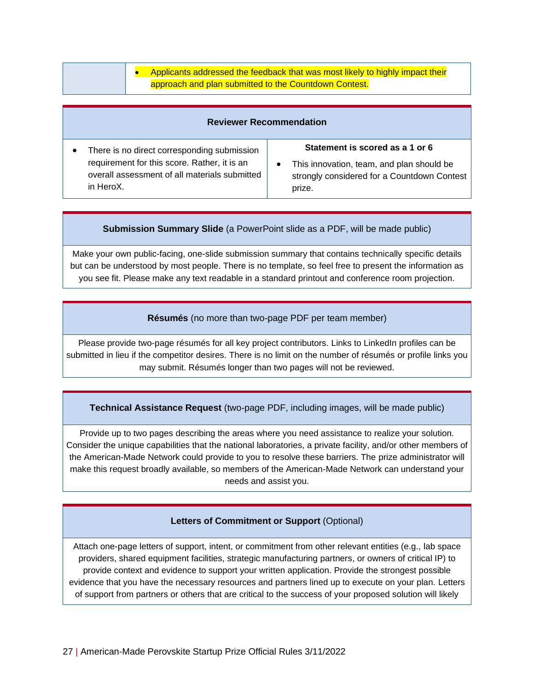

#### **Reviewer Recommendation**

There is no direct corresponding submission requirement for this score. Rather, it is an overall assessment of all materials submitted in HeroX.

#### **Statement is scored as a 1 or 6**

• This innovation, team, and plan should be strongly considered for a Countdown Contest prize.

#### **Submission Summary Slide** (a PowerPoint slide as a PDF, will be made public)

 but can be understood by most people. There is no template, so feel free to present the information as Make your own public-facing, one-slide submission summary that contains technically specific details you see fit. Please make any text readable in a standard printout and conference room projection.

#### **Résumés** (no more than two-page PDF per team member)

 Please provide two-page résumés for all key project contributors. Links to LinkedIn profiles can be submitted in lieu if the competitor desires. There is no limit on the number of résumés or profile links you may submit. Résumés longer than two pages will not be reviewed.

#### **Technical Assistance Request** (two-page PDF, including images, will be made public)

Provide up to two pages describing the areas where you need assistance to realize your solution. Consider the unique capabilities that the national laboratories, a private facility, and/or other members of the American-Made Network could provide to you to resolve these barriers. The prize administrator will make this request broadly available, so members of the American-Made Network can understand your needs and assist you.

#### **Letters of Commitment or Support** (Optional)

 evidence that you have the necessary resources and partners lined up to execute on your plan. Letters of support from partners or others that are critical to the success of your proposed solution will likely Attach one-page letters of support, intent, or commitment from other relevant entities (e.g., lab space providers, shared equipment facilities, strategic manufacturing partners, or owners of critical IP) to provide context and evidence to support your written application. Provide the strongest possible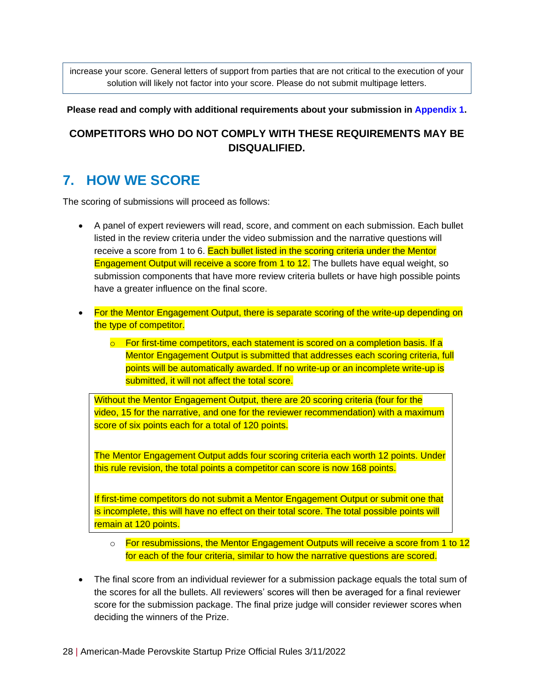solution will likely not factor into your score. Please do not submit multipage letters. increase your score. General letters of support from parties that are not critical to the execution of your

#### **Please read and comply with additional requirements about your submission in [Appendix 1.](#page-38-2)**

#### **COMPETITORS WHO DO NOT COMPLY WITH THESE REQUIREMENTS MAY BE DISQUALIFIED.**

### <span id="page-27-0"></span>**7. HOW WE SCORE**

The scoring of submissions will proceed as follows:

- • A panel of expert reviewers will read, score, and comment on each submission. Each bullet Engagement Output will receive a score from 1 to 12. The bullets have equal weight, so listed in the review criteria under the video submission and the narrative questions will receive a score from 1 to 6. Each bullet listed in the scoring criteria under the Mentor submission components that have more review criteria bullets or have high possible points have a greater influence on the final score.
- For the Mentor Engagement Output, there is separate scoring of the write-up depending on the type of competitor.
	- $\circ$  For first-time competitors, each statement is scored on a completion basis. If a Mentor Engagement Output is submitted that addresses each scoring criteria, full submitted, it will not affect the total score. points will be automatically awarded. If no write-up or an incomplete write-up is

 score of six points each for a total of 120 points. Without the Mentor Engagement Output, there are 20 scoring criteria (four for the video, 15 for the narrative, and one for the reviewer recommendation) with a maximum

 this rule revision, the total points a competitor can score is now 168 points. The Mentor Engagement Output adds four scoring criteria each worth 12 points. Under

 If first-time competitors do not submit a Mentor Engagement Output or submit one that is incomplete, this will have no effect on their total score. The total possible points will remain at 120 points.

- $\circ$  For resubmissions, the Mentor Engagement Outputs will receive a score from 1 to 12 for each of the four criteria, similar to how the narrative questions are scored.
- the scores for all the bullets. All reviewers' scores will then be averaged for a final reviewer • The final score from an individual reviewer for a submission package equals the total sum of score for the submission package. The final prize judge will consider reviewer scores when deciding the winners of the Prize.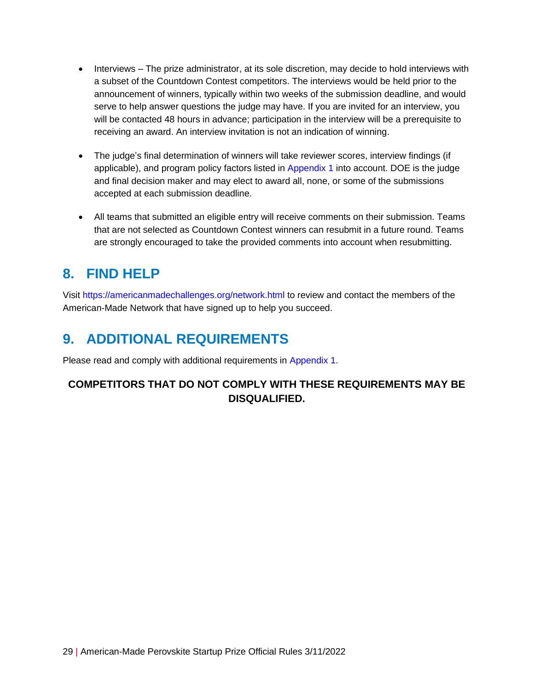- • Interviews The prize administrator, at its sole discretion, may decide to hold interviews with a subset of the Countdown Contest competitors. The interviews would be held prior to the announcement of winners, typically within two weeks of the submission deadline, and would serve to help answer questions the judge may have. If you are invited for an interview, you will be contacted 48 hours in advance; participation in the interview will be a prerequisite to receiving an award. An interview invitation is not an indication of winning.
- • The judge's final determination of winners will take reviewer scores, interview findings (if and final decision maker and may elect to award all, none, or some of the submissions applicable), and program policy factors listed in [Appendix 1](#page-39-0) into account. DOE is the judge accepted at each submission deadline.
- • All teams that submitted an eligible entry will receive comments on their submission. Teams that are not selected as Countdown Contest winners can resubmit in a future round. Teams are strongly encouraged to take the provided comments into account when resubmitting.

## <span id="page-28-0"></span>**8. FIND HELP**

Visit<https://americanmadechallenges.org/network.html>to review and contact the members of the American-Made Network that have signed up to help you succeed.

## <span id="page-28-1"></span>**9. ADDITIONAL REQUIREMENTS**

Please read and comply with additional requirements in [Appendix 1.](#page-39-0)

#### **COMPETITORS THAT DO NOT COMPLY WITH THESE REQUIREMENTS MAY BE DISQUALIFIED.**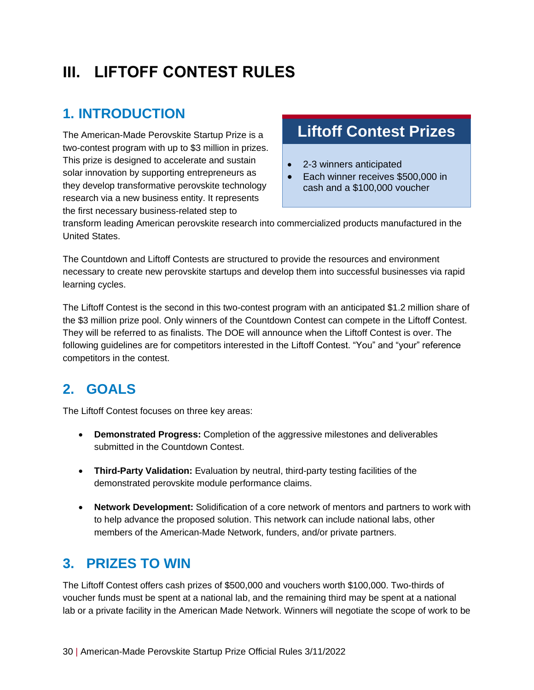# <span id="page-29-0"></span>**III. LIFTOFF CONTEST RULES**

## <span id="page-29-1"></span>**1. INTRODUCTION**

two-contest program with up to \$3 million in prizes.<br>This prize is designed to accelerate and sustain The American-Made Perovskite Startup Prize is a solar innovation by supporting entrepreneurs as they develop transformative perovskite technology research via a new business entity. It represents the first necessary business-related step to

## **Liftoff Contest Prizes**

- 2-3 winners anticipated
- Each winner receives \$500,000 in cash and a \$100,000 voucher

transform leading American perovskite research into commercialized products manufactured in the United States.

The Countdown and Liftoff Contests are structured to provide the resources and environment necessary to create new perovskite startups and develop them into successful businesses via rapid learning cycles.

 They will be referred to as finalists. The DOE will announce when the Liftoff Contest is over. The The Liftoff Contest is the second in this two-contest program with an anticipated \$1.2 million share of the \$3 million prize pool. Only winners of the Countdown Contest can compete in the Liftoff Contest. following guidelines are for competitors interested in the Liftoff Contest. "You" and "your" reference competitors in the contest.

## <span id="page-29-2"></span>**2. GOALS**

The Liftoff Contest focuses on three key areas:

- **Demonstrated Progress:** Completion of the aggressive milestones and deliverables submitted in the Countdown Contest.
- **Third-Party Validation:** Evaluation by neutral, third-party testing facilities of the demonstrated perovskite module performance claims.
- members of the American-Made Network, funders, and/or private partners. • **Network Development:** Solidification of a core network of mentors and partners to work with to help advance the proposed solution. This network can include national labs, other

### <span id="page-29-3"></span>**3. PRIZES TO WIN**

 voucher funds must be spent at a national lab, and the remaining third may be spent at a national The Liftoff Contest offers cash prizes of \$500,000 and vouchers worth \$100,000. Two-thirds of lab or a private facility in the American Made Network. Winners will negotiate the scope of work to be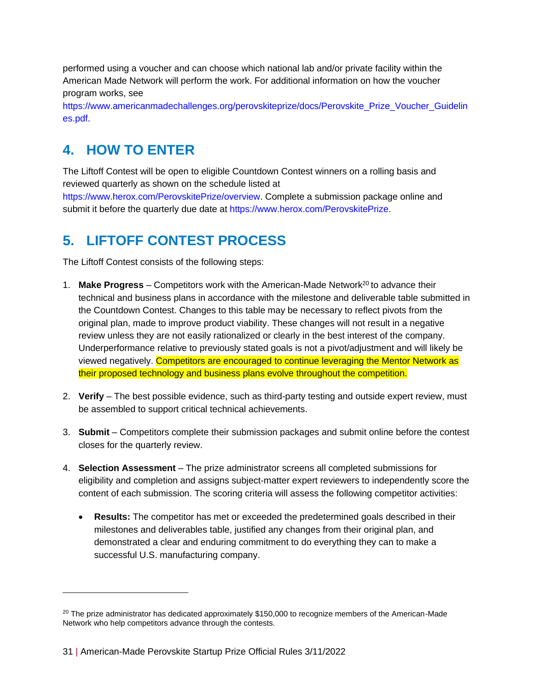American Made Network will perform the work. For additional information on how the voucher performed using a voucher and can choose which national lab and/or private facility within the program works, see

https://www.americanmadechallenges.org/perovskiteprize/docs/Perovskite\_Prize\_Voucher\_Guidelin [es.pdf.](https://www.americanmadechallenges.org/perovskiteprize/docs/Perovskite_Prize_Voucher_Guidelines.pdf)

## <span id="page-30-0"></span>**4. HOW TO ENTER**

 The Liftoff Contest will be open to eligible Countdown Contest winners on a rolling basis and reviewed quarterly as shown on the schedule listed at

submit it before the quarterly due date at [https://www.herox.com/PerovskitePrize.](https://www.herox.com/PerovskitePrize) [https://www.herox.com/PerovskitePrize/overview.](https://www.herox.com/PerovskitePrize/overview) Complete a submission package online and

## <span id="page-30-1"></span>**5. LIFTOFF CONTEST PROCESS**

The Liftoff Contest consists of the following steps:

- the Countdown Contest. Changes to this table may be necessary to reflect pivots from the original plan, made to improve product viability. These changes will not result in a negative review unless they are not easily rationalized or clearly in the best interest of the company. Underperformance relative to previously stated goals is not a pivot/adjustment and will likely be 1. **Make Progress** – Competitors work with the American-Made Network20 to advance their technical and business plans in accordance with the milestone and deliverable table submitted in viewed negatively. Competitors are encouraged to continue leveraging the Mentor Network as their proposed technology and business plans evolve throughout the competition.
- be assembled to support critical technical achievements. 2. **Verify** – The best possible evidence, such as third-party testing and outside expert review, must
- 3. **Submit**  Competitors complete their submission packages and submit online before the contest closes for the quarterly review.
- content of each submission. The scoring criteria will assess the following competitor activities: 4. **Selection Assessment** – The prize administrator screens all completed submissions for eligibility and completion and assigns subject-matter expert reviewers to independently score the
	- milestones and deliverables table, justified any changes from their original plan, and successful U.S. manufacturing company. • **Results:** The competitor has met or exceeded the predetermined goals described in their demonstrated a clear and enduring commitment to do everything they can to make a

<sup>&</sup>lt;sup>20</sup> The prize administrator has dedicated approximately \$150,000 to recognize members of the American-Made Network who help competitors advance through the contests.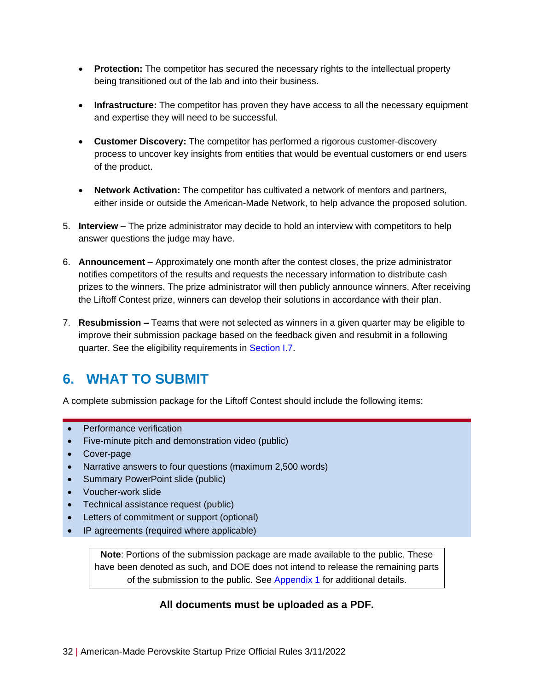- being transitioned out of the lab and into their business. • **Protection:** The competitor has secured the necessary rights to the intellectual property
- **Infrastructure:** The competitor has proven they have access to all the necessary equipment and expertise they will need to be successful.
- **Customer Discovery:** The competitor has performed a rigorous customer-discovery process to uncover key insights from entities that would be eventual customers or end users of the product.
- **Network Activation:** The competitor has cultivated a network of mentors and partners, either inside or outside the American-Made Network, to help advance the proposed solution.
- 5. **Interview**  The prize administrator may decide to hold an interview with competitors to help answer questions the judge may have.
- prizes to the winners. The prize administrator will then publicly announce winners. After receiving the Liftoff Contest prize, winners can develop their solutions in accordance with their plan. 6. **Announcement** – Approximately one month after the contest closes, the prize administrator notifies competitors of the results and requests the necessary information to distribute cash
- 7. **Resubmission –** Teams that were not selected as winners in a given quarter may be eligible to improve their submission package based on the feedback given and resubmit in a following quarter. See the eligibility requirements in [Section I.7.](#page-12-0)

### <span id="page-31-0"></span>**6. WHAT TO SUBMIT**

A complete submission package for the Liftoff Contest should include the following items:

- Performance verification
- Five-minute pitch and demonstration video (public)
- Cover-page
- Narrative answers to four questions (maximum 2,500 words)
- Summary PowerPoint slide (public)
- Voucher-work slide
- Technical assistance request (public)
- Letters of commitment or support (optional)
- IP agreements (required where applicable)

 **Note**: Portions of the submission package are made available to the public. These have been denoted as such, and DOE does not intend to release the remaining parts of the submission to the public. See [Appendix 1](#page-38-2) for additional details.

#### **All documents must be uploaded as a PDF.**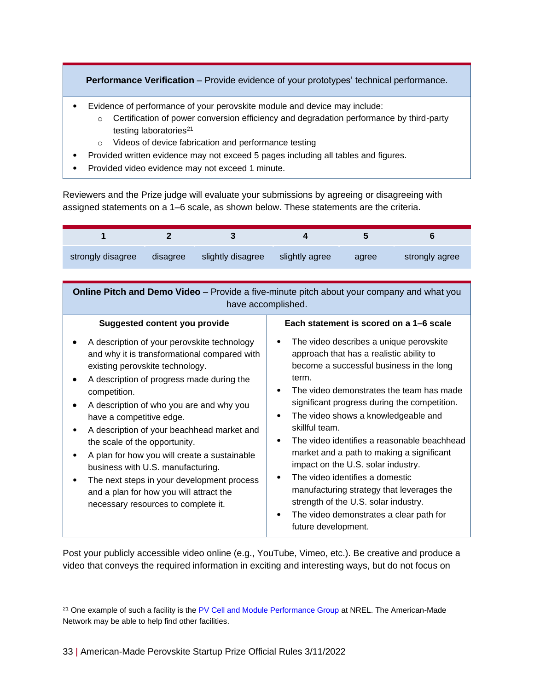**Performance Verification** – Provide evidence of your prototypes' technical performance.

- Evidence of performance of your perovskite module and device may include:
	- o Certification of power conversion efficiency and degradation performance by third-party testing laboratories<sup>21</sup>
	- o Videos of device fabrication and performance testing
	- Provided written evidence may not exceed 5 pages including all tables and figures.
- Provided video evidence may not exceed 1 minute.

•

 Reviewers and the Prize judge will evaluate your submissions by agreeing or disagreeing with assigned statements on a 1–6 scale, as shown below. These statements are the criteria.

| strongly disagree | disagree | slightly disagree | slightly agree | agree | strongly agree |
|-------------------|----------|-------------------|----------------|-------|----------------|

**Online Pitch and Demo Video** – Provide a five-minute pitch about your company and what you have accomplished.

| <b>Suggested content you provide</b>                                                                                                                                                                                                                                                                                                                                                                                                                                                                                                                                    | Each statement is scored on a 1–6 scale                                                                                                                                                                                                                                                                                                                                                                                                                                                                                                                                                                                             |
|-------------------------------------------------------------------------------------------------------------------------------------------------------------------------------------------------------------------------------------------------------------------------------------------------------------------------------------------------------------------------------------------------------------------------------------------------------------------------------------------------------------------------------------------------------------------------|-------------------------------------------------------------------------------------------------------------------------------------------------------------------------------------------------------------------------------------------------------------------------------------------------------------------------------------------------------------------------------------------------------------------------------------------------------------------------------------------------------------------------------------------------------------------------------------------------------------------------------------|
| A description of your perovskite technology<br>and why it is transformational compared with<br>existing perovskite technology.<br>A description of progress made during the<br>competition.<br>A description of who you are and why you<br>have a competitive edge.<br>A description of your beachhead market and<br>the scale of the opportunity.<br>A plan for how you will create a sustainable<br>business with U.S. manufacturing.<br>The next steps in your development process<br>and a plan for how you will attract the<br>necessary resources to complete it. | The video describes a unique perovskite<br>٠<br>approach that has a realistic ability to<br>become a successful business in the long<br>term.<br>The video demonstrates the team has made<br>significant progress during the competition.<br>The video shows a knowledgeable and<br>skillful team.<br>The video identifies a reasonable beachhead<br>٠<br>market and a path to making a significant<br>impact on the U.S. solar industry.<br>The video identifies a domestic<br>manufacturing strategy that leverages the<br>strength of the U.S. solar industry.<br>The video demonstrates a clear path for<br>future development. |

 Post your publicly accessible video online (e.g., YouTube, Vimeo, etc.). Be creative and produce a video that conveys the required information in exciting and interesting ways, but do not focus on

 Network may be able to help find other facilities.  $21$  One example of such a facility is the [PV Cell and Module Performance Group](https://www.nrel.gov/pv/insights/posts/pv-performance-measurements-six-weeks-or-less.html) at NREL. The American-Made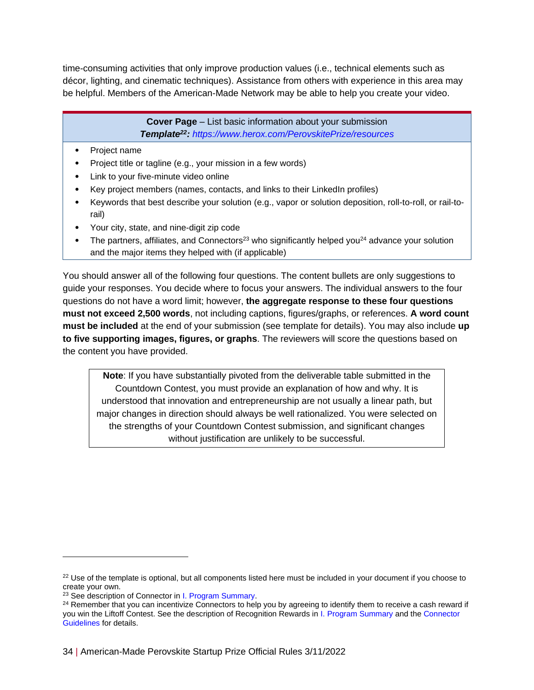time-consuming activities that only improve production values (i.e., technical elements such as décor, lighting, and cinematic techniques). Assistance from others with experience in this area may be helpful. Members of the American-Made Network may be able to help you create your video.

#### **Cover Page** *–* List basic information about your submission *Template22: <https://www.herox.com/PerovskitePrize/resources>*

- Project name
- Project title or tagline (e.g., your mission in a few words)
- Link to your five-minute video online
- Key project members (names, contacts, and links to their LinkedIn profiles)
- Keywords that best describe your solution (e.g., vapor or solution deposition, roll-to-roll, or rail-torail)
- Your city, state, and nine-digit zip code
- The partners, affiliates, and Connectors<sup>23</sup> who significantly helped you<sup>24</sup> advance your solution and the major items they helped with (if applicable)

 questions do not have a word limit; however, **the aggregate response to these four questions must not exceed 2,500 words**, not including captions, figures/graphs, or references. **A word count must be included** at the end of your submission (see template for details). You may also include **up to five supporting images, figures, or graphs**. The reviewers will score the questions based on You should answer all of the following four questions. The content bullets are only suggestions to guide your responses. You decide where to focus your answers. The individual answers to the four the content you have provided.

 Countdown Contest, you must provide an explanation of how and why. It is understood that innovation and entrepreneurship are not usually a linear path, but the strengths of your Countdown Contest submission, and significant changes **Note**: If you have substantially pivoted from the deliverable table submitted in the major changes in direction should always be well rationalized. You were selected on without justification are unlikely to be successful.

 $22$  Use of the template is optional, but all components listed here must be included in your document if you choose to create your own.<br><sup>23</sup> See description of Connector in I. Program Summary.

<sup>&</sup>lt;sup>23</sup> See description of Connector in I. Program Summary.<br><sup>24</sup> Remember that you can incentivize Connectors to help you by agreeing to identify them to receive a cash reward if you win the Liftoff Contest. See the description of Recognition Rewards in [I. Program Summary](#page-9-2) and th[e Connector](https://www.americanmadechallenges.org/perovskiteprize/docs/Perovskite_Prize_Connector_Guidelines.pdf)  [Guidelines](https://www.americanmadechallenges.org/perovskiteprize/docs/Perovskite_Prize_Connector_Guidelines.pdf) for details.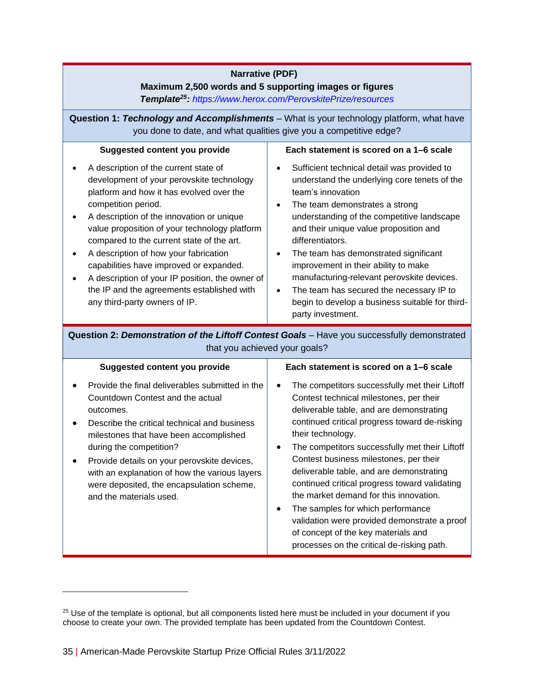| <b>Narrative (PDF)</b><br>Maximum 2,500 words and 5 supporting images or figures<br>Template <sup>25</sup> : https://www.herox.com/PerovskitePrize/resources                                                                                                                                                                                                                                                                                                                                                           |                                                                                                                                                                                                                                                                                                                                                                                                                                                                                                                                                                                                                          |  |  |  |  |
|------------------------------------------------------------------------------------------------------------------------------------------------------------------------------------------------------------------------------------------------------------------------------------------------------------------------------------------------------------------------------------------------------------------------------------------------------------------------------------------------------------------------|--------------------------------------------------------------------------------------------------------------------------------------------------------------------------------------------------------------------------------------------------------------------------------------------------------------------------------------------------------------------------------------------------------------------------------------------------------------------------------------------------------------------------------------------------------------------------------------------------------------------------|--|--|--|--|
| Question 1: Technology and Accomplishments - What is your technology platform, what have<br>you done to date, and what qualities give you a competitive edge?                                                                                                                                                                                                                                                                                                                                                          |                                                                                                                                                                                                                                                                                                                                                                                                                                                                                                                                                                                                                          |  |  |  |  |
| Suggested content you provide                                                                                                                                                                                                                                                                                                                                                                                                                                                                                          | Each statement is scored on a 1-6 scale                                                                                                                                                                                                                                                                                                                                                                                                                                                                                                                                                                                  |  |  |  |  |
| A description of the current state of<br>development of your perovskite technology<br>platform and how it has evolved over the<br>competition period.<br>A description of the innovation or unique<br>value proposition of your technology platform<br>compared to the current state of the art.<br>A description of how your fabrication<br>capabilities have improved or expanded.<br>A description of your IP position, the owner of<br>the IP and the agreements established with<br>any third-party owners of IP. | Sufficient technical detail was provided to<br>understand the underlying core tenets of the<br>team's innovation<br>The team demonstrates a strong<br>$\bullet$<br>understanding of the competitive landscape<br>and their unique value proposition and<br>differentiators.<br>The team has demonstrated significant<br>$\bullet$<br>improvement in their ability to make<br>manufacturing-relevant perovskite devices.<br>The team has secured the necessary IP to<br>$\bullet$<br>begin to develop a business suitable for third-<br>party investment.                                                                 |  |  |  |  |
| Question 2: Demonstration of the Liftoff Contest Goals - Have you successfully demonstrated<br>that you achieved your goals?                                                                                                                                                                                                                                                                                                                                                                                           |                                                                                                                                                                                                                                                                                                                                                                                                                                                                                                                                                                                                                          |  |  |  |  |
| Suggested content you provide                                                                                                                                                                                                                                                                                                                                                                                                                                                                                          | Each statement is scored on a 1-6 scale                                                                                                                                                                                                                                                                                                                                                                                                                                                                                                                                                                                  |  |  |  |  |
| Provide the final deliverables submitted in the<br>Countdown Contest and the actual<br>outcomes.<br>Describe the critical technical and business<br>milestones that have been accomplished<br>during the competition?<br>Provide details on your perovskite devices,<br>with an explanation of how the various layers<br>were deposited, the encapsulation scheme,<br>and the materials used.                                                                                                                          | The competitors successfully met their Liftoff<br>Contest technical milestones, per their<br>deliverable table, and are demonstrating<br>continued critical progress toward de-risking<br>their technology.<br>The competitors successfully met their Liftoff<br>Contest business milestones, per their<br>deliverable table, and are demonstrating<br>continued critical progress toward validating<br>the market demand for this innovation.<br>The samples for which performance<br>validation were provided demonstrate a proof<br>of concept of the key materials and<br>processes on the critical de-risking path. |  |  |  |  |

 $^{25}$  Use of the template is optional, but all components listed here must be included in your document if you choose to create your own. The provided template has been updated from the Countdown Contest.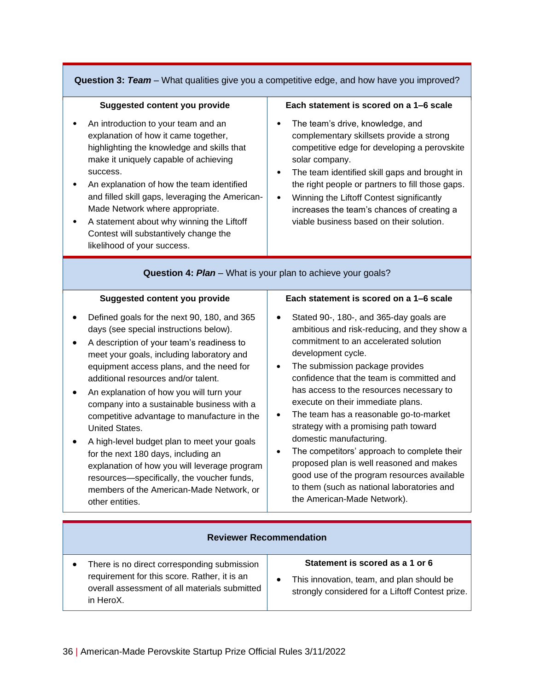**Question 3: Team** – What qualities give you a competitive edge, and how have you improved?

#### **Suggested content you provide**

- An introduction to your team and an explanation of how it came together, highlighting the knowledge and skills that make it uniquely capable of achieving success.
- and filled skill gaps, leveraging the American-• An explanation of how the team identified Made Network where appropriate.
- A statement about why winning the Liftoff Contest will substantively change the likelihood of your success.

#### **Each statement is scored on a 1–6 scale**

- The team's drive, knowledge, and complementary skillsets provide a strong competitive edge for developing a perovskite solar company.
- The team identified skill gaps and brought in the right people or partners to fill those gaps.
- Winning the Liftoff Contest significantly increases the team's chances of creating a viable business based on their solution.

#### **Question 4:** *Plan* – What is your plan to achieve your goals?

#### **Suggested content you provide**

- Defined goals for the next 90, 180, and 365 days (see special instructions below).
- A description of your team's readiness to meet your goals, including laboratory and equipment access plans, and the need for additional resources and/or talent.
- An explanation of how you will turn your company into a sustainable business with a competitive advantage to manufacture in the United States.
- for the next 180 days, including an • A high-level budget plan to meet your goals explanation of how you will leverage program resources—specifically, the voucher funds, members of the American-Made Network, or other entities.

#### **Each statement is scored on a 1–6 scale**

- Stated 90-, 180-, and 365-day goals are ambitious and risk-reducing, and they show a commitment to an accelerated solution development cycle.
- confidence that the team is committed and The submission package provides has access to the resources necessary to execute on their immediate plans.
- The team has a reasonable go-to-market strategy with a promising path toward domestic manufacturing.
- to them (such as national laboratories and The competitors' approach to complete their proposed plan is well reasoned and makes good use of the program resources available the American-Made Network).

#### **Reviewer Recommendation**

| There is no direct corresponding submission                                                                | Statement is scored as a 1 or 6                                                               |
|------------------------------------------------------------------------------------------------------------|-----------------------------------------------------------------------------------------------|
| requirement for this score. Rather, it is an<br>overall assessment of all materials submitted<br>in HeroX. | This innovation, team, and plan should be<br>strongly considered for a Liftoff Contest prize. |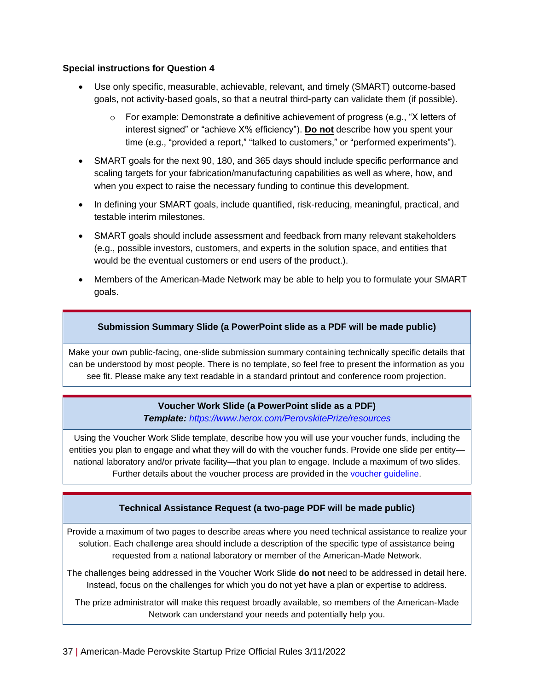#### **Special instructions for Question 4**

- • Use only specific, measurable, achievable, relevant, and timely (SMART) outcome-based goals, not activity-based goals, so that a neutral third-party can validate them (if possible).
	- $\circ$   $\;$  For example: Demonstrate a definitive achievement of progress (e.g., "X letters of interest signed" or "achieve X% efficiency"). **Do not** describe how you spent your time (e.g., "provided a report," "talked to customers," or "performed experiments").
- • SMART goals for the next 90, 180, and 365 days should include specific performance and scaling targets for your fabrication/manufacturing capabilities as well as where, how, and when you expect to raise the necessary funding to continue this development.
- In defining your SMART goals, include quantified, risk-reducing, meaningful, practical, and testable interim milestones.
- (e.g., possible investors, customers, and experts in the solution space, and entities that would be the eventual customers or end users of the product.). • SMART goals should include assessment and feedback from many relevant stakeholders
- Members of the American-Made Network may be able to help you to formulate your SMART goals.

#### **Submission Summary Slide (a PowerPoint slide as a PDF will be made public)**

Make your own public-facing, one-slide submission summary containing technically specific details that can be understood by most people. There is no template, so feel free to present the information as you see fit. Please make any text readable in a standard printout and conference room projection.

#### **Voucher Work Slide (a PowerPoint slide as a PDF)**  *Template: <https://www.herox.com/PerovskitePrize/resources>*

Using the Voucher Work Slide template, describe how you will use your voucher funds, including the entities you plan to engage and what they will do with the voucher funds. Provide one slide per entity national laboratory and/or private facility—that you plan to engage. Include a maximum of two slides. Further details about the voucher process are provided in the [voucher guideline.](https://www.americanmadechallenges.org/perovskiteprize/docs/Perovskite_Prize_Voucher_Guidelines.pdf)

#### **Technical Assistance Request (a two-page PDF will be made public)**

 requested from a national laboratory or member of the American-Made Network. Provide a maximum of two pages to describe areas where you need technical assistance to realize your solution. Each challenge area should include a description of the specific type of assistance being

 The challenges being addressed in the Voucher Work Slide **do not** need to be addressed in detail here. Instead, focus on the challenges for which you do not yet have a plan or expertise to address.

 The prize administrator will make this request broadly available, so members of the American-Made Network can understand your needs and potentially help you.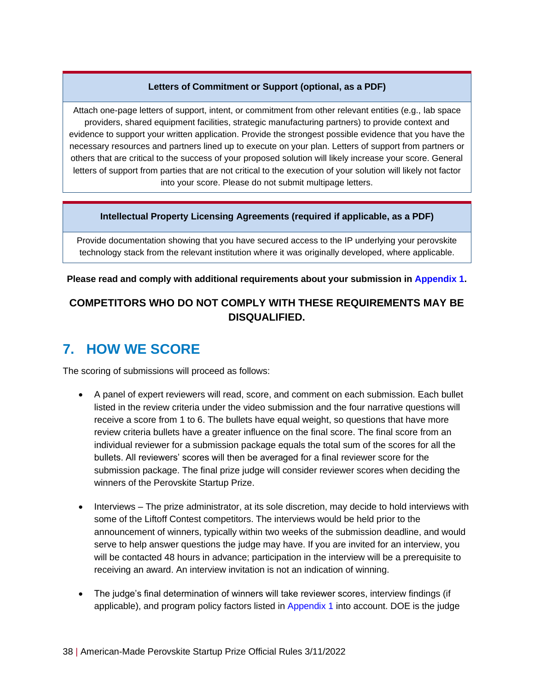#### **Letters of Commitment or Support (optional, as a PDF)**

 evidence to support your written application. Provide the strongest possible evidence that you have the Attach one-page letters of support, intent, or commitment from other relevant entities (e.g., lab space providers, shared equipment facilities, strategic manufacturing partners) to provide context and necessary resources and partners lined up to execute on your plan. Letters of support from partners or others that are critical to the success of your proposed solution will likely increase your score. General letters of support from parties that are not critical to the execution of your solution will likely not factor into your score. Please do not submit multipage letters.

#### **Intellectual Property Licensing Agreements (required if applicable, as a PDF)**

Provide documentation showing that you have secured access to the IP underlying your perovskite technology stack from the relevant institution where it was originally developed, where applicable.

#### **Please read and comply with additional requirements about your submission in [Appendix 1.](#page-38-2)**

#### **COMPETITORS WHO DO NOT COMPLY WITH THESE REQUIREMENTS MAY BE DISQUALIFIED.**

### <span id="page-37-0"></span>**7. HOW WE SCORE**

The scoring of submissions will proceed as follows:

- • A panel of expert reviewers will read, score, and comment on each submission. Each bullet listed in the review criteria under the video submission and the four narrative questions will review criteria bullets have a greater influence on the final score. The final score from an individual reviewer for a submission package equals the total sum of the scores for all the bullets. All reviewers' scores will then be averaged for a final reviewer score for the submission package. The final prize judge will consider reviewer scores when deciding the receive a score from 1 to 6. The bullets have equal weight, so questions that have more winners of the Perovskite Startup Prize.
- • Interviews The prize administrator, at its sole discretion, may decide to hold interviews with announcement of winners, typically within two weeks of the submission deadline, and would serve to help answer questions the judge may have. If you are invited for an interview, you will be contacted 48 hours in advance; participation in the interview will be a prerequisite to some of the Liftoff Contest competitors. The interviews would be held prior to the receiving an award. An interview invitation is not an indication of winning.
- • The judge's final determination of winners will take reviewer scores, interview findings (if applicable), and program policy factors listed in [Appendix 1](#page-39-0) into account. DOE is the judge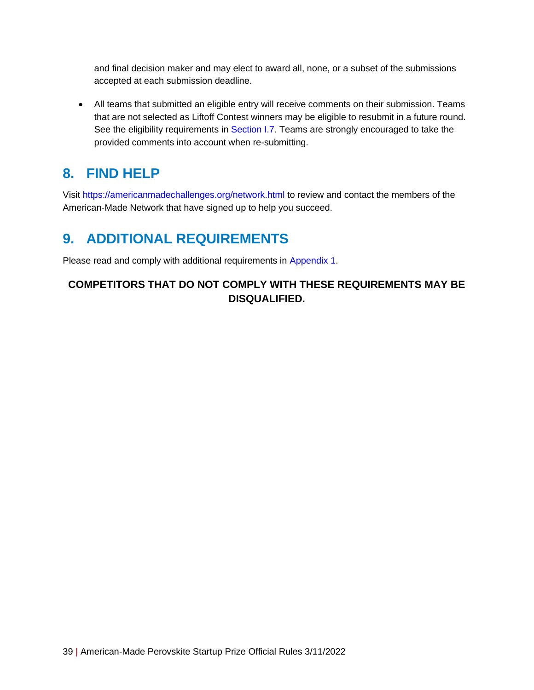and final decision maker and may elect to award all, none, or a subset of the submissions accepted at each submission deadline.

 • All teams that submitted an eligible entry will receive comments on their submission. Teams that are not selected as Liftoff Contest winners may be eligible to resubmit in a future round. See the eligibility requirements in [Section I.7.](#page-12-0) Teams are strongly encouraged to take the provided comments into account when re-submitting.

### <span id="page-38-0"></span>**8. FIND HELP**

Visit<https://americanmadechallenges.org/network.html>to review and contact the members of the American-Made Network that have signed up to help you succeed.

### <span id="page-38-1"></span>**9. ADDITIONAL REQUIREMENTS**

Please read and comply with additional requirements in [Appendix 1.](#page-38-2)

#### <span id="page-38-2"></span>**COMPETITORS THAT DO NOT COMPLY WITH THESE REQUIREMENTS MAY BE DISQUALIFIED.**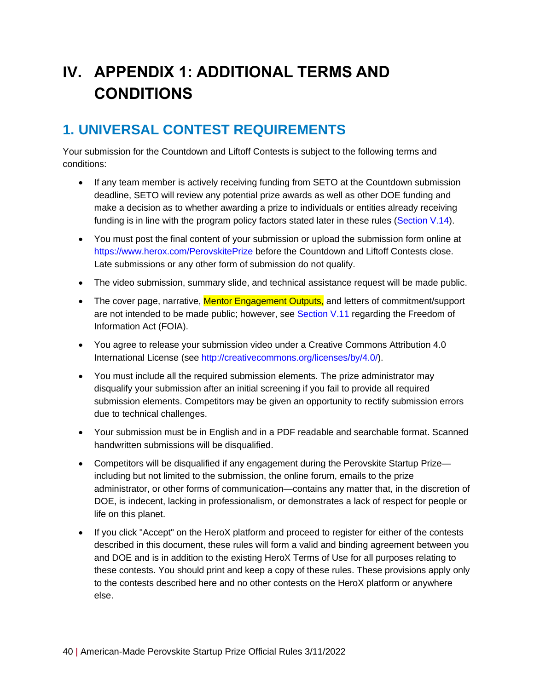# <span id="page-39-0"></span>**IV. APPENDIX 1: ADDITIONAL TERMS AND CONDITIONS**

### <span id="page-39-1"></span>**1. UNIVERSAL CONTEST REQUIREMENTS**

Your submission for the Countdown and Liftoff Contests is subject to the following terms and conditions:

- • If any team member is actively receiving funding from SETO at the Countdown submission deadline, SETO will review any potential prize awards as well as other DOE funding and make a decision as to whether awarding a prize to individuals or entities already receiving funding is in line with the program policy factors stated later in these rules [\(Section V.14\)](#page-44-0).
- • You must post the final content of your submission or upload the submission form online at Late submissions or any other form of submission do not qualify. <https://www.herox.com/PerovskitePrize>before the Countdown and Liftoff Contests close.
- The video submission, summary slide, and technical assistance request will be made public.
- are not intended to be made public; however, see [Section V.11](#page-42-2) regarding the Freedom of Information Act (FOIA). • The cover page, narrative, Mentor Engagement Outputs, and letters of commitment/support
- You agree to release your submission video under [a Creative Commons Attribution 4.0](http://creativecommons.org/licenses/by/3.0/us/deed.en_US)  [International License](http://creativecommons.org/licenses/by/3.0/us/deed.en_US) (see [http://creativecommons.org/licenses/by/4.0/\)](http://creativecommons.org/licenses/by/4.0/).
- • You must include all the required submission elements. The prize administrator may disqualify your submission after an initial screening if you fail to provide all required submission elements. Competitors may be given an opportunity to rectify submission errors due to technical challenges.
- Your submission must be in English and in a PDF readable and searchable format. Scanned handwritten submissions will be disqualified.
- including but not limited to the submission, the online forum, emails to the prize DOE, is indecent, lacking in professionalism, or demonstrates a lack of respect for people or • Competitors will be disqualified if any engagement during the Perovskite Startup Prize administrator, or other forms of communication—contains any matter that, in the discretion of life on this planet.
- • If you click "Accept" on the HeroX platform and proceed to register for either of the contests described in this document, these rules will form a valid and binding agreement between you and DOE and is in addition to the existing HeroX Terms of Use for all purposes relating to to the contests described here and no other contests on the HeroX platform or anywhere these contests. You should print and keep a copy of these rules. These provisions apply only else.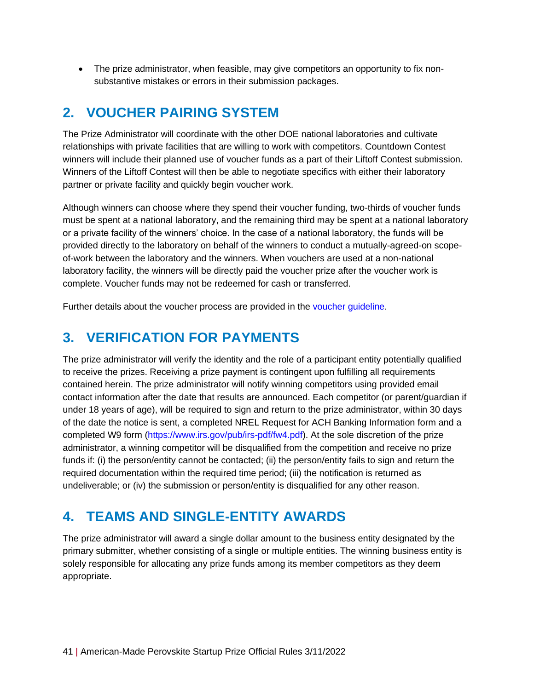• The prize administrator, when feasible, may give competitors an opportunity to fix nonsubstantive mistakes or errors in their submission packages.

#### <span id="page-40-0"></span>**2. VOUCHER PAIRING SYSTEM**

 The Prize Administrator will coordinate with the other DOE national laboratories and cultivate winners will include their planned use of voucher funds as a part of their Liftoff Contest submission. Winners of the Liftoff Contest will then be able to negotiate specifics with either their laboratory relationships with private facilities that are willing to work with competitors. Countdown Contest partner or private facility and quickly begin voucher work.

 Although winners can choose where they spend their voucher funding, two-thirds of voucher funds must be spent at a national laboratory, and the remaining third may be spent at a national laboratory or a private facility of the winners' choice. In the case of a national laboratory, the funds will be provided directly to the laboratory on behalf of the winners to conduct a mutually-agreed-on scope- of-work between the laboratory and the winners. When vouchers are used at a non-national laboratory facility, the winners will be directly paid the voucher prize after the voucher work is complete. Voucher funds may not be redeemed for cash or transferred.

Further details about the voucher process are provided in the [voucher guideline.](https://www.americanmadechallenges.org/perovskiteprize/docs/Perovskite_Prize_Voucher_Guidelines.pdf)

### <span id="page-40-1"></span>**3. VERIFICATION FOR PAYMENTS**

 under 18 years of age), will be required to sign and return to the prize administrator, within 30 days funds if: (i) the person/entity cannot be contacted; (ii) the person/entity fails to sign and return the required documentation within the required time period; (iii) the notification is returned as The prize administrator will verify the identity and the role of a participant entity potentially qualified to receive the prizes. Receiving a prize payment is contingent upon fulfilling all requirements contained herein. The prize administrator will notify winning competitors using provided email contact information after the date that results are announced. Each competitor (or parent/guardian if of the date the notice is sent, a completed NREL Request for ACH Banking Information form and a completed W9 form [\(https://www.irs.gov/pub/irs-pdf/fw4.pdf\)](https://www.irs.gov/pub/irs-pdf/fw4.pdf). At the sole discretion of the prize administrator, a winning competitor will be disqualified from the competition and receive no prize undeliverable; or (iv) the submission or person/entity is disqualified for any other reason.

### <span id="page-40-2"></span>**4. TEAMS AND SINGLE-ENTITY AWARDS**

The prize administrator will award a single dollar amount to the business entity designated by the primary submitter, whether consisting of a single or multiple entities. The winning business entity is solely responsible for allocating any prize funds among its member competitors as they deem appropriate.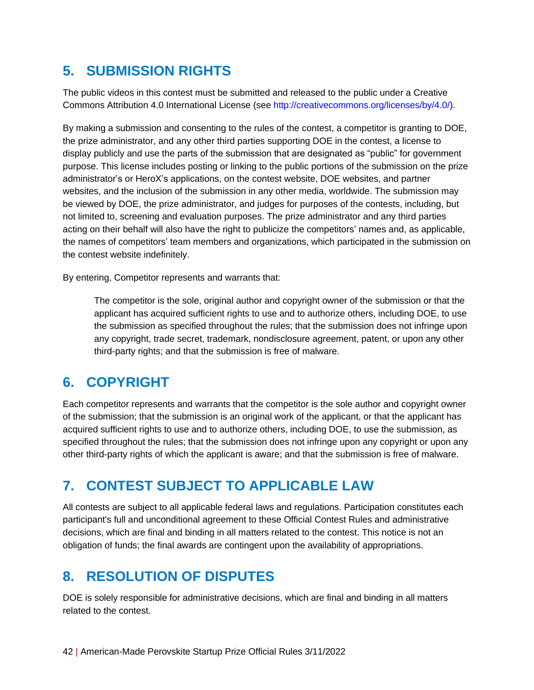### <span id="page-41-0"></span>**5. SUBMISSION RIGHTS**

 The public videos in this contest must be submitted and released to the public under a [Creative](http://creativecommons.org/licenses/by/3.0/us/deed.en_US)  [Commons Attribution 4.0 International License](http://creativecommons.org/licenses/by/3.0/us/deed.en_US) (see<http://creativecommons.org/licenses/by/4.0/>).

 By making a submission and consenting to the rules of the contest, a competitor is granting to DOE, administrator's or HeroX's applications, on the contest website, DOE websites, and partner websites, and the inclusion of the submission in any other media, worldwide. The submission may acting on their behalf will also have the right to publicize the competitors' names and, as applicable, the prize administrator, and any other third parties supporting DOE in the contest, a license to display publicly and use the parts of the submission that are designated as "public" for government purpose. This license includes posting or linking to the public portions of the submission on the prize be viewed by DOE, the prize administrator, and judges for purposes of the contests, including, but not limited to, screening and evaluation purposes. The prize administrator and any third parties the names of competitors' team members and organizations, which participated in the submission on the contest website indefinitely.

By entering, Competitor represents and warrants that:

 The competitor is the sole, original author and copyright owner of the submission or that the applicant has acquired sufficient rights to use and to authorize others, including DOE, to use the submission as specified throughout the rules; that the submission does not infringe upon any copyright, trade secret, trademark, nondisclosure agreement, patent, or upon any other third-party rights; and that the submission is free of malware.

#### <span id="page-41-1"></span>**6. COPYRIGHT**

 of the submission; that the submission is an original work of the applicant, or that the applicant has acquired sufficient rights to use and to authorize others, including DOE, to use the submission, as other third-party rights of which the applicant is aware; and that the submission is free of malware. Each competitor represents and warrants that the competitor is the sole author and copyright owner specified throughout the rules; that the submission does not infringe upon any copyright or upon any

### <span id="page-41-2"></span>**7. CONTEST SUBJECT TO APPLICABLE LAW**

 All contests are subject to all applicable federal laws and regulations. Participation constitutes each participant's full and unconditional agreement to these Official Contest Rules and administrative obligation of funds; the final awards are contingent upon the availability of appropriations. decisions, which are final and binding in all matters related to the contest. This notice is not an

### <span id="page-41-3"></span>**8. RESOLUTION OF DISPUTES**

DOE is solely responsible for administrative decisions, which are final and binding in all matters related to the contest.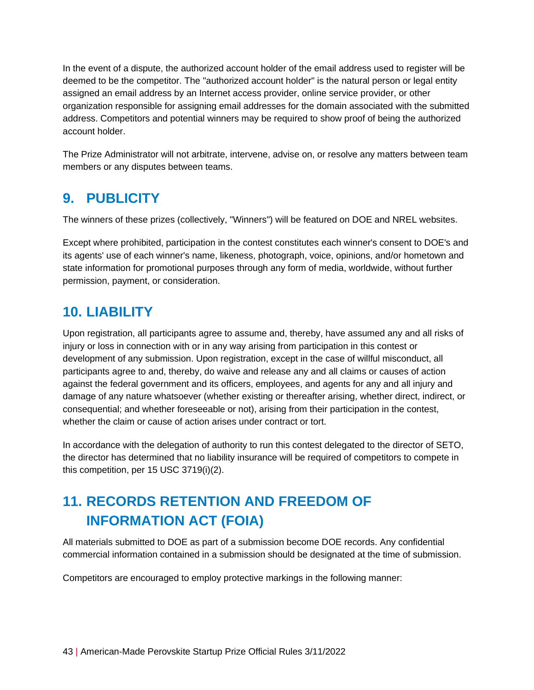In the event of a dispute, the authorized account holder of the email address used to register will be deemed to be the competitor. The "authorized account holder" is the natural person or legal entity address. Competitors and potential winners may be required to show proof of being the authorized assigned an email address by an Internet access provider, online service provider, or other organization responsible for assigning email addresses for the domain associated with the submitted account holder.

 The Prize Administrator will not arbitrate, intervene, advise on, or resolve any matters between team members or any disputes between teams.

### <span id="page-42-0"></span>**9. PUBLICITY**

The winners of these prizes (collectively, "Winners") will be featured on DOE and NREL websites.

 Except where prohibited, participation in the contest constitutes each winner's consent to DOE's and its agents' use of each winner's name, likeness, photograph, voice, opinions, and/or hometown and state information for promotional purposes through any form of media, worldwide, without further permission, payment, or consideration.

### <span id="page-42-1"></span>**10. LIABILITY**

 Upon registration, all participants agree to assume and, thereby, have assumed any and all risks of development of any submission. Upon registration, except in the case of willful misconduct, all participants agree to and, thereby, do waive and release any and all claims or causes of action against the federal government and its officers, employees, and agents for any and all injury and damage of any nature whatsoever (whether existing or thereafter arising, whether direct, indirect, or consequential; and whether foreseeable or not), arising from their participation in the contest, whether the claim or cause of action arises under contract or tort. injury or loss in connection with or in any way arising from participation in this contest or

In accordance with the delegation of authority to run this contest delegated to the director of SETO, the director has determined that no liability insurance will be required of competitors to compete in this competition, per 15 USC 3719(i)(2).

## <span id="page-42-2"></span>**11. RECORDS RETENTION AND FREEDOM OF INFORMATION ACT (FOIA)**

 All materials submitted to DOE as part of a submission become DOE records. Any confidential commercial information contained in a submission should be designated at the time of submission.

Competitors are encouraged to employ protective markings in the following manner: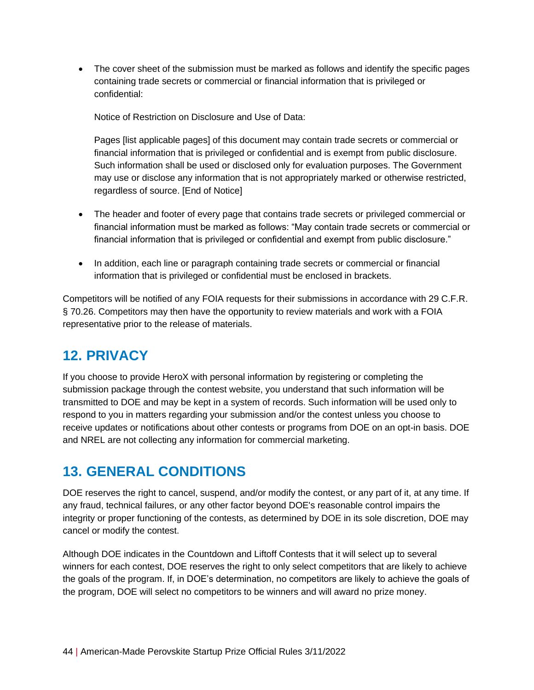• The cover sheet of the submission must be marked as follows and identify the specific pages containing trade secrets or commercial or financial information that is privileged or confidential:

Notice of Restriction on Disclosure and Use of Data:

 Pages [list applicable pages] of this document may contain trade secrets or commercial or financial information that is privileged or confidential and is exempt from public disclosure. Such information shall be used or disclosed only for evaluation purposes. The Government may use or disclose any information that is not appropriately marked or otherwise restricted, regardless of source. [End of Notice]

- financial information that is privileged or confidential and exempt from public disclosure." • The header and footer of every page that contains trade secrets or privileged commercial or financial information must be marked as follows: "May contain trade secrets or commercial or
- • In addition, each line or paragraph containing trade secrets or commercial or financial information that is privileged or confidential must be enclosed in brackets.

 Competitors will be notified of any FOIA requests for their submissions in accordance with 29 C.F.R. § 70.26. Competitors may then have the opportunity to review materials and work with a FOIA representative prior to the release of materials.

## <span id="page-43-0"></span>**12. PRIVACY**

 submission package through the contest website, you understand that such information will be transmitted to DOE and may be kept in a system of records. Such information will be used only to respond to you in matters regarding your submission and/or the contest unless you choose to receive updates or notifications about other contests or programs from DOE on an opt-in basis. DOE and NREL are not collecting any information for commercial marketing. If you choose to provide HeroX with personal information by registering or completing the

### <span id="page-43-1"></span>**13. GENERAL CONDITIONS**

 DOE reserves the right to cancel, suspend, and/or modify the contest, or any part of it, at any time. If any fraud, technical failures, or any other factor beyond DOE's reasonable control impairs the integrity or proper functioning of the contests, as determined by DOE in its sole discretion, DOE may cancel or modify the contest.

 Although DOE indicates in the Countdown and Liftoff Contests that it will select up to several winners for each contest, DOE reserves the right to only select competitors that are likely to achieve the program, DOE will select no competitors to be winners and will award no prize money. the goals of the program. If, in DOE's determination, no competitors are likely to achieve the goals of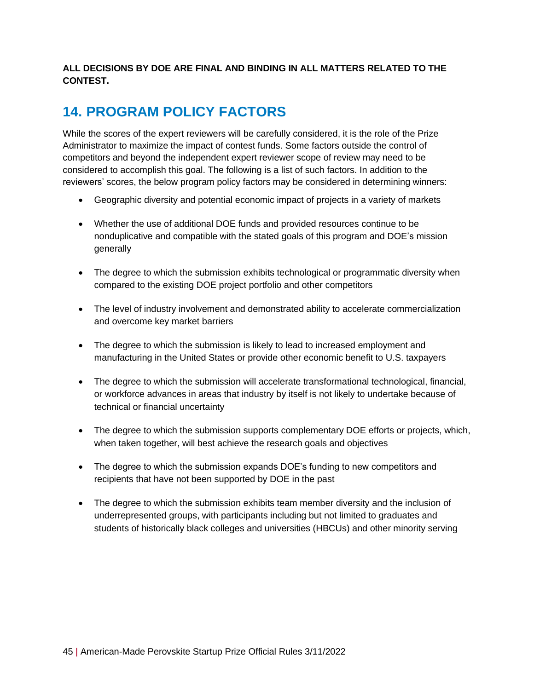**ALL DECISIONS BY DOE ARE FINAL AND BINDING IN ALL MATTERS RELATED TO THE CONTEST.** 

### <span id="page-44-0"></span>**14. PROGRAM POLICY FACTORS**

 Administrator to maximize the impact of contest funds. Some factors outside the control of competitors and beyond the independent expert reviewer scope of review may need to be considered to accomplish this goal. The following is a list of such factors. In addition to the reviewers' scores, the below program policy factors may be considered in determining winners: While the scores of the expert reviewers will be carefully considered, it is the role of the Prize

- Geographic diversity and potential economic impact of projects in a variety of markets
- • Whether the use of additional DOE funds and provided resources continue to be nonduplicative and compatible with the stated goals of this program and DOE's mission generally
- compared to the existing DOE project portfolio and other competitors • The degree to which the submission exhibits technological or programmatic diversity when
- • The level of industry involvement and demonstrated ability to accelerate commercialization and overcome key market barriers
- manufacturing in the United States or provide other economic benefit to U.S. taxpayers • The degree to which the submission is likely to lead to increased employment and
- • The degree to which the submission will accelerate transformational technological, financial, or workforce advances in areas that industry by itself is not likely to undertake because of technical or financial uncertainty
- • The degree to which the submission supports complementary DOE efforts or projects, which, when taken together, will best achieve the research goals and objectives
- recipients that have not been supported by DOE in the past • The degree to which the submission expands DOE's funding to new competitors and
- underrepresented groups, with participants including but not limited to graduates and • The degree to which the submission exhibits team member diversity and the inclusion of students of historically black colleges and universities (HBCUs) and other minority serving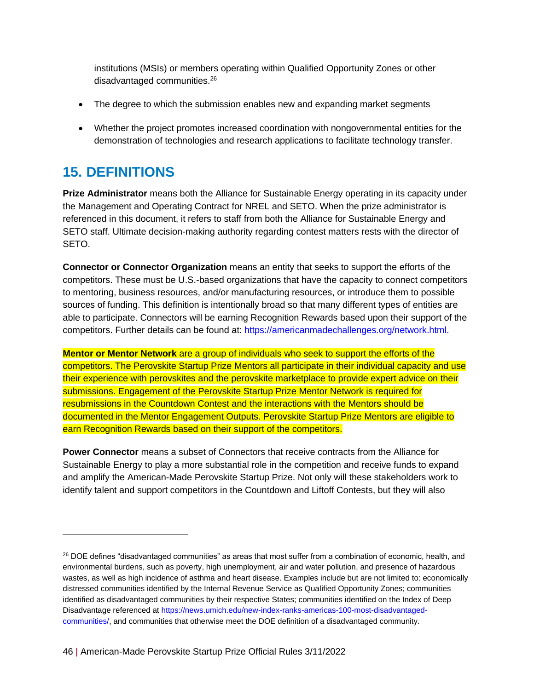institutions (MSIs) or members operating within Qualified Opportunity Zones or other disadvantaged [communities.](https://communities.26) 26

- The degree to which the submission enables new and expanding market segments
- Whether the project promotes increased coordination with nongovernmental entities for the demonstration of technologies and research applications to facilitate technology transfer.

### <span id="page-45-0"></span>**15. DEFINITIONS**

 referenced in this document, it refers to staff from both the Alliance for Sustainable Energy and **Prize Administrator** means both the Alliance for Sustainable Energy operating in its capacity under the Management and Operating Contract for NREL and SETO. When the prize administrator is SETO staff. Ultimate decision-making authority regarding contest matters rests with the director of SETO.

 sources of funding. This definition is intentionally broad so that many different types of entities are able to participate. Connectors will be earning Recognition Rewards based upon their support of the **Connector or Connector Organization** means an entity that seeks to support the efforts of the competitors. These must be U.S.-based organizations that have the capacity to connect competitors to mentoring, business resources, and/or manufacturing resources, or introduce them to possible competitors. Further details can be found at: [https://americanmadechallenges.org/network.html.](https://americanmadechallenges.org/network.html)

 competitors. The Perovskite Startup Prize Mentors all participate in their individual capacity and use submissions. Engagement of the Perovskite Startup Prize Mentor Network is required for earn Recognition Rewards based on their support of the competitors. **Mentor or Mentor Network** are a group of individuals who seek to support the efforts of the their experience with perovskites and the perovskite marketplace to provide expert advice on their resubmissions in the Countdown Contest and the interactions with the Mentors should be documented in the Mentor Engagement Outputs. Perovskite Startup Prize Mentors are eligible to

 **Power Connector** means a subset of Connectors that receive contracts from the Alliance for and amplify the American-Made Perovskite Startup Prize. Not only will these stakeholders work to identify talent and support competitors in the Countdown and Liftoff Contests, but they will also Sustainable Energy to play a more substantial role in the competition and receive funds to expand

 wastes, as well as high incidence of asthma and heart disease. Examples include but are not limited to: economically identified as disadvantaged communities by their respective States; communities identified on the Index of Deep <sup>26</sup> DOE defines "disadvantaged communities" as areas that most suffer from a combination of economic, health, and environmental burdens, such as poverty, high unemployment, air and water pollution, and presence of hazardous distressed communities identified by the Internal Revenue Service as Qualified Opportunity Zones; communities Disadvantage referenced at [https://news.umich.edu/new-index-ranks-americas-100-most-disadvantaged](https://news.umich.edu/new-index-ranks-americas-100-most-disadvantaged-communities/)[communities/,](https://news.umich.edu/new-index-ranks-americas-100-most-disadvantaged-communities/) and communities that otherwise meet the DOE definition of a disadvantaged community.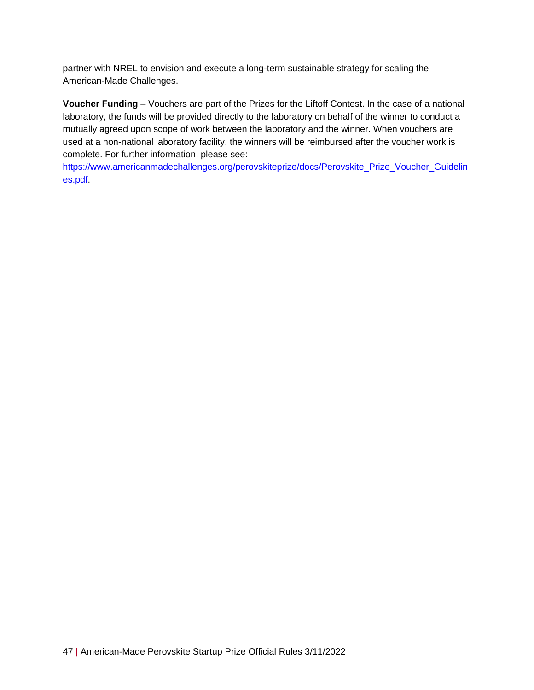partner with NREL to envision and execute a long-term sustainable strategy for scaling the American-Made Challenges.

 **Voucher Funding** – Vouchers are part of the Prizes for the Liftoff Contest. In the case of a national laboratory, the funds will be provided directly to the laboratory on behalf of the winner to conduct a complete. For further information, please see: mutually agreed upon scope of work between the laboratory and the winner. When vouchers are used at a non-national laboratory facility, the winners will be reimbursed after the voucher work is

[https://www.americanmadechallenges.org/perovskiteprize/docs/Perovskite\\_Prize\\_Voucher\\_Guidelin](https://www.americanmadechallenges.org/perovskiteprize/docs/Perovskite_Prize_Voucher_Guidelines.pdf)  [es.pdf.](https://www.americanmadechallenges.org/perovskiteprize/docs/Perovskite_Prize_Voucher_Guidelines.pdf)